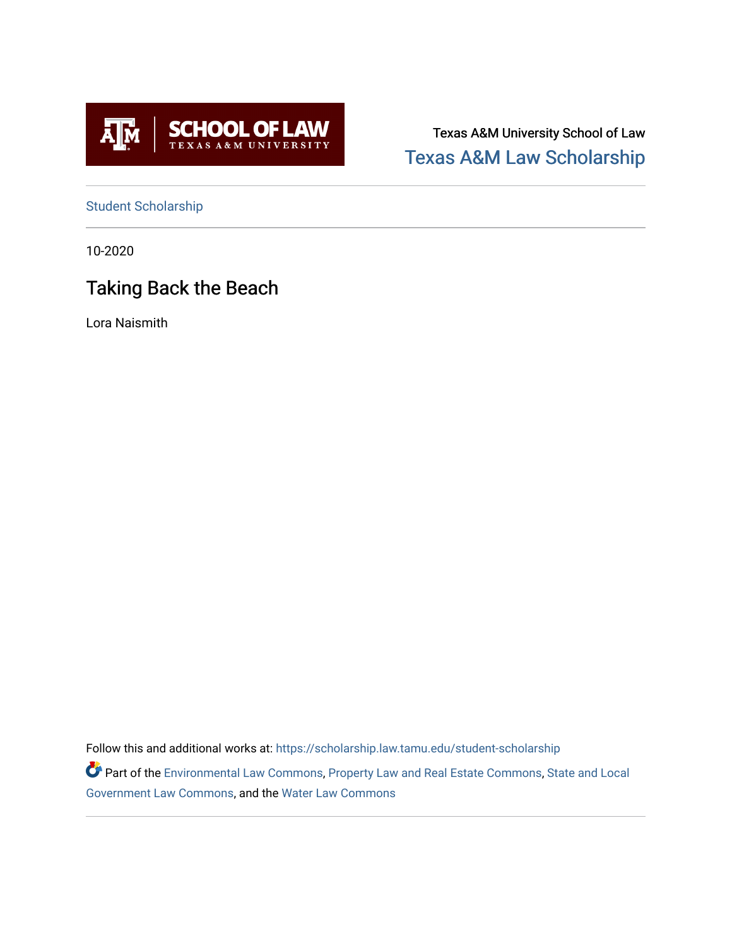

Texas A&M University School of Law [Texas A&M Law Scholarship](https://scholarship.law.tamu.edu/) 

[Student Scholarship](https://scholarship.law.tamu.edu/student-scholarship)

10-2020

# Taking Back the Beach

Lora Naismith

Follow this and additional works at: [https://scholarship.law.tamu.edu/student-scholarship](https://scholarship.law.tamu.edu/student-scholarship?utm_source=scholarship.law.tamu.edu%2Fstudent-scholarship%2F15&utm_medium=PDF&utm_campaign=PDFCoverPages) 

Part of the [Environmental Law Commons](https://network.bepress.com/hgg/discipline/599?utm_source=scholarship.law.tamu.edu%2Fstudent-scholarship%2F15&utm_medium=PDF&utm_campaign=PDFCoverPages), [Property Law and Real Estate Commons](https://network.bepress.com/hgg/discipline/897?utm_source=scholarship.law.tamu.edu%2Fstudent-scholarship%2F15&utm_medium=PDF&utm_campaign=PDFCoverPages), State and Local [Government Law Commons,](https://network.bepress.com/hgg/discipline/879?utm_source=scholarship.law.tamu.edu%2Fstudent-scholarship%2F15&utm_medium=PDF&utm_campaign=PDFCoverPages) and the [Water Law Commons](https://network.bepress.com/hgg/discipline/887?utm_source=scholarship.law.tamu.edu%2Fstudent-scholarship%2F15&utm_medium=PDF&utm_campaign=PDFCoverPages)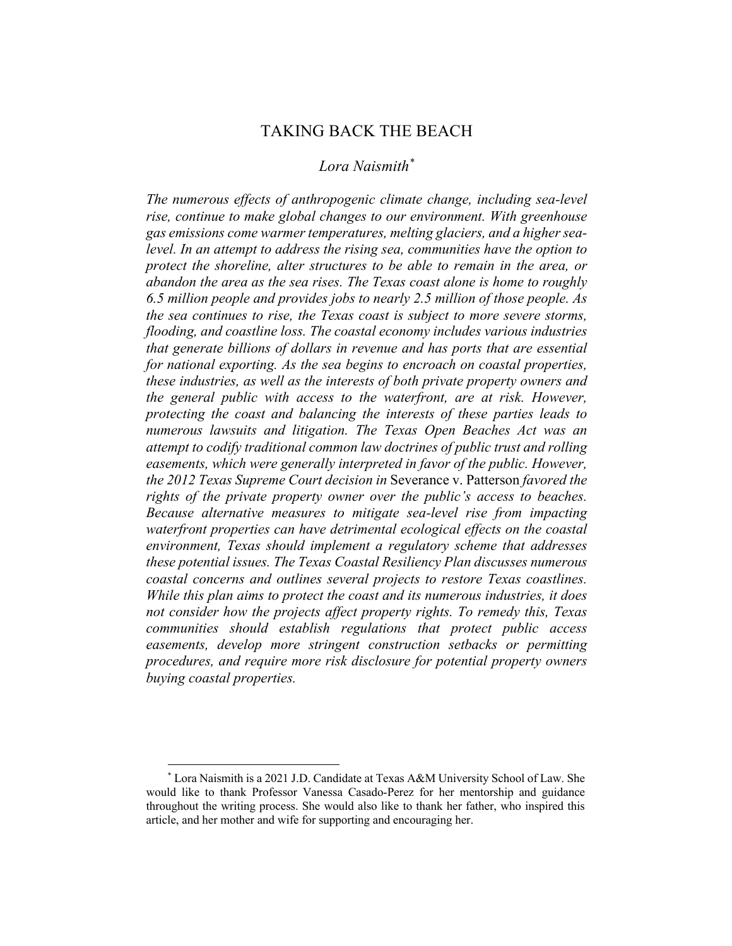# TAKING BACK THE BEACH

# *Lora Naismith\**

*The numerous effects of anthropogenic climate change, including sea-level rise, continue to make global changes to our environment. With greenhouse gas emissions come warmer temperatures, melting glaciers, and a higher sealevel. In an attempt to address the rising sea, communities have the option to protect the shoreline, alter structures to be able to remain in the area, or abandon the area as the sea rises. The Texas coast alone is home to roughly 6.5 million people and provides jobs to nearly 2.5 million of those people. As the sea continues to rise, the Texas coast is subject to more severe storms, flooding, and coastline loss. The coastal economy includes various industries that generate billions of dollars in revenue and has ports that are essential for national exporting. As the sea begins to encroach on coastal properties, these industries, as well as the interests of both private property owners and the general public with access to the waterfront, are at risk. However, protecting the coast and balancing the interests of these parties leads to numerous lawsuits and litigation. The Texas Open Beaches Act was an attempt to codify traditional common law doctrines of public trust and rolling easements, which were generally interpreted in favor of the public. However, the 2012 Texas Supreme Court decision in* Severance v. Patterson *favored the rights of the private property owner over the public's access to beaches. Because alternative measures to mitigate sea-level rise from impacting waterfront properties can have detrimental ecological effects on the coastal environment, Texas should implement a regulatory scheme that addresses these potential issues. The Texas Coastal Resiliency Plan discusses numerous coastal concerns and outlines several projects to restore Texas coastlines. While this plan aims to protect the coast and its numerous industries, it does not consider how the projects affect property rights. To remedy this, Texas communities should establish regulations that protect public access easements, develop more stringent construction setbacks or permitting procedures, and require more risk disclosure for potential property owners buying coastal properties.*

<sup>\*</sup> Lora Naismith is a 2021 J.D. Candidate at Texas A&M University School of Law. She would like to thank Professor Vanessa Casado-Perez for her mentorship and guidance throughout the writing process. She would also like to thank her father, who inspired this article, and her mother and wife for supporting and encouraging her.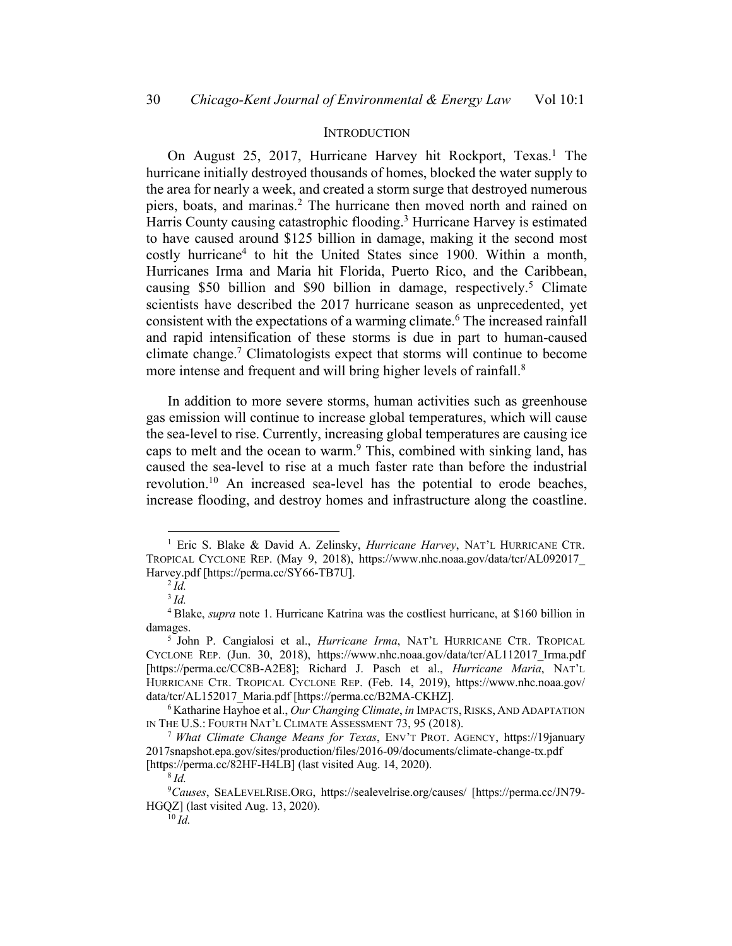#### **INTRODUCTION**

On August 25, 2017, Hurricane Harvey hit Rockport, Texas.<sup>1</sup> The hurricane initially destroyed thousands of homes, blocked the water supply to the area for nearly a week, and created a storm surge that destroyed numerous piers, boats, and marinas.2 The hurricane then moved north and rained on Harris County causing catastrophic flooding.<sup>3</sup> Hurricane Harvey is estimated to have caused around \$125 billion in damage, making it the second most costly hurricane4 to hit the United States since 1900. Within a month, Hurricanes Irma and Maria hit Florida, Puerto Rico, and the Caribbean, causing \$50 billion and \$90 billion in damage, respectively.<sup>5</sup> Climate scientists have described the 2017 hurricane season as unprecedented, yet consistent with the expectations of a warming climate.<sup>6</sup> The increased rainfall and rapid intensification of these storms is due in part to human-caused climate change.7 Climatologists expect that storms will continue to become more intense and frequent and will bring higher levels of rainfall.<sup>8</sup>

In addition to more severe storms, human activities such as greenhouse gas emission will continue to increase global temperatures, which will cause the sea-level to rise. Currently, increasing global temperatures are causing ice caps to melt and the ocean to warm.<sup>9</sup> This, combined with sinking land, has caused the sea-level to rise at a much faster rate than before the industrial revolution.<sup>10</sup> An increased sea-level has the potential to erode beaches, increase flooding, and destroy homes and infrastructure along the coastline.

<sup>1</sup> Eric S. Blake & David A. Zelinsky, *Hurricane Harvey*, NAT'L HURRICANE CTR. TROPICAL CYCLONE REP. (May 9, 2018), https://www.nhc.noaa.gov/data/tcr/AL092017\_ Harvey.pdf [https://perma.cc/SY66-TB7U].

<sup>2</sup> *Id.*

<sup>3</sup> *Id.*

<sup>4</sup> Blake, *supra* note 1. Hurricane Katrina was the costliest hurricane, at \$160 billion in damages.

<sup>5</sup> John P. Cangialosi et al., *Hurricane Irma*, NAT'L HURRICANE CTR. TROPICAL CYCLONE REP. (Jun. 30, 2018), https://www.nhc.noaa.gov/data/tcr/AL112017\_Irma.pdf [https://perma.cc/CC8B-A2E8]; Richard J. Pasch et al., *Hurricane Maria*, NAT'L HURRICANE CTR. TROPICAL CYCLONE REP. (Feb. 14, 2019), https://www.nhc.noaa.gov/ data/tcr/AL152017\_Maria.pdf [https://perma.cc/B2MA-CKHZ].

<sup>&</sup>lt;sup>6</sup>Katharine Hayhoe et al., *Our Changing Climate*, *in* IMPACTS, RISKS, AND ADAPTATION IN THE U.S.: FOURTH NAT'L CLIMATE ASSESSMENT 73, 95 (2018).

<sup>7</sup> *What Climate Change Means for Texas*, ENV'T PROT. AGENCY, https://19january 2017snapshot.epa.gov/sites/production/files/2016-09/documents/climate-change-tx.pdf [https://perma.cc/82HF-H4LB] (last visited Aug. 14, 2020).

<sup>8</sup> *Id.*

<sup>9</sup> *Causes*, SEALEVELRISE.ORG, https://sealevelrise.org/causes/ [https://perma.cc/JN79- HGQZ] (last visited Aug. 13, 2020).

 $10 \tilde{I}$ *d.*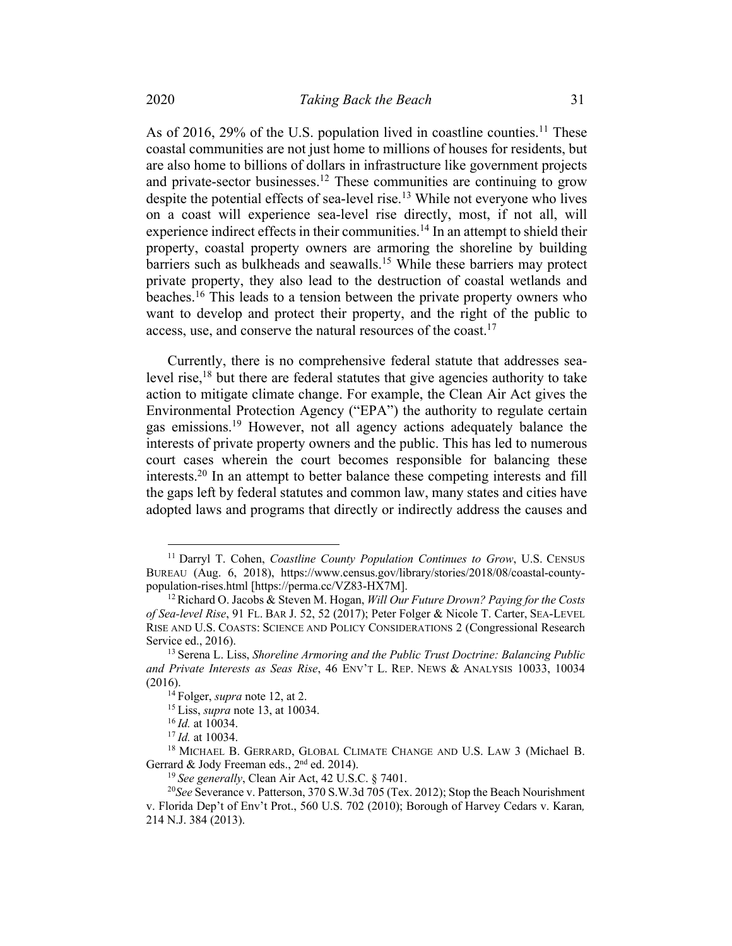As of 2016, 29% of the U.S. population lived in coastline counties.<sup>11</sup> These coastal communities are not just home to millions of houses for residents, but are also home to billions of dollars in infrastructure like government projects and private-sector businesses.<sup>12</sup> These communities are continuing to grow despite the potential effects of sea-level rise.<sup>13</sup> While not everyone who lives on a coast will experience sea-level rise directly, most, if not all, will experience indirect effects in their communities.<sup>14</sup> In an attempt to shield their property, coastal property owners are armoring the shoreline by building barriers such as bulkheads and seawalls.<sup>15</sup> While these barriers may protect private property, they also lead to the destruction of coastal wetlands and beaches.<sup>16</sup> This leads to a tension between the private property owners who want to develop and protect their property, and the right of the public to access, use, and conserve the natural resources of the coast.<sup>17</sup>

Currently, there is no comprehensive federal statute that addresses sealevel rise,<sup>18</sup> but there are federal statutes that give agencies authority to take action to mitigate climate change. For example, the Clean Air Act gives the Environmental Protection Agency ("EPA") the authority to regulate certain gas emissions.19 However, not all agency actions adequately balance the interests of private property owners and the public. This has led to numerous court cases wherein the court becomes responsible for balancing these interests.20 In an attempt to better balance these competing interests and fill the gaps left by federal statutes and common law, many states and cities have adopted laws and programs that directly or indirectly address the causes and

<sup>&</sup>lt;sup>11</sup> Darryl T. Cohen, *Coastline County Population Continues to Grow*, U.S. CENSUS BUREAU (Aug. 6, 2018), https://www.census.gov/library/stories/2018/08/coastal-countypopulation-rises.html [https://perma.cc/VZ83-HX7M].

<sup>12</sup>Richard O. Jacobs & Steven M. Hogan, *Will Our Future Drown? Paying for the Costs of Sea-level Rise*, 91 FL. BAR J. 52, 52 (2017); Peter Folger & Nicole T. Carter, SEA-LEVEL RISE AND U.S. COASTS: SCIENCE AND POLICY CONSIDERATIONS 2 (Congressional Research Service ed., 2016).

<sup>13</sup> Serena L. Liss, *Shoreline Armoring and the Public Trust Doctrine: Balancing Public and Private Interests as Seas Rise*, 46 ENV'T L. REP. NEWS & ANALYSIS 10033, 10034 (2016).

<sup>14</sup> Folger, *supra* note 12, at 2.

<sup>15</sup> Liss, *supra* note 13, at 10034.

<sup>16</sup> *Id.* at 10034.

<sup>17</sup> *Id.* at 10034.

<sup>18</sup> MICHAEL B. GERRARD, GLOBAL CLIMATE CHANGE AND U.S. LAW 3 (Michael B. Gerrard & Jody Freeman eds., 2<sup>nd</sup> ed. 2014).

<sup>19</sup> *See generally*, Clean Air Act, 42 U.S.C. § 7401.

<sup>20</sup>*See* Severance v. Patterson, 370 S.W.3d 705 (Tex. 2012); Stop the Beach Nourishment v. Florida Dep't of Env't Prot., 560 U.S. 702 (2010); Borough of Harvey Cedars v. Karan*,*  214 N.J. 384 (2013).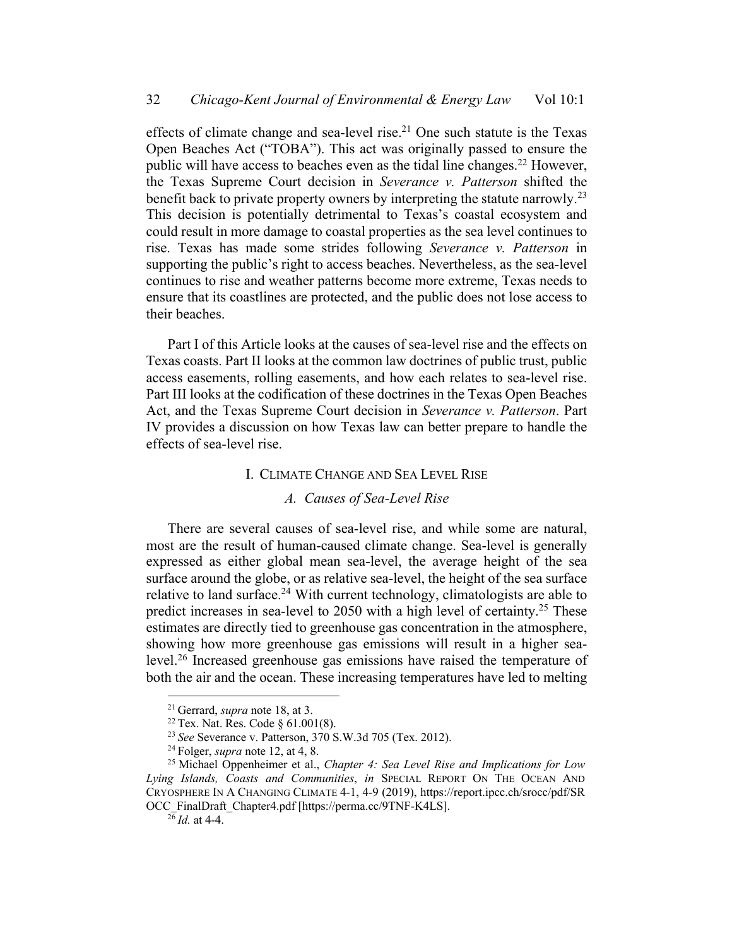effects of climate change and sea-level rise.<sup>21</sup> One such statute is the Texas Open Beaches Act ("TOBA"). This act was originally passed to ensure the public will have access to beaches even as the tidal line changes.<sup>22</sup> However, the Texas Supreme Court decision in *Severance v. Patterson* shifted the benefit back to private property owners by interpreting the statute narrowly.<sup>23</sup> This decision is potentially detrimental to Texas's coastal ecosystem and could result in more damage to coastal properties as the sea level continues to rise. Texas has made some strides following *Severance v. Patterson* in supporting the public's right to access beaches. Nevertheless, as the sea-level continues to rise and weather patterns become more extreme, Texas needs to ensure that its coastlines are protected, and the public does not lose access to their beaches.

Part I of this Article looks at the causes of sea-level rise and the effects on Texas coasts. Part II looks at the common law doctrines of public trust, public access easements, rolling easements, and how each relates to sea-level rise. Part III looks at the codification of these doctrines in the Texas Open Beaches Act, and the Texas Supreme Court decision in *Severance v. Patterson*. Part IV provides a discussion on how Texas law can better prepare to handle the effects of sea-level rise.

#### I. CLIMATE CHANGE AND SEA LEVEL RISE

#### *A. Causes of Sea-Level Rise*

There are several causes of sea-level rise, and while some are natural, most are the result of human-caused climate change. Sea-level is generally expressed as either global mean sea-level, the average height of the sea surface around the globe, or as relative sea-level, the height of the sea surface relative to land surface.<sup>24</sup> With current technology, climatologists are able to predict increases in sea-level to 2050 with a high level of certainty.<sup>25</sup> These estimates are directly tied to greenhouse gas concentration in the atmosphere, showing how more greenhouse gas emissions will result in a higher sealevel.26 Increased greenhouse gas emissions have raised the temperature of both the air and the ocean. These increasing temperatures have led to melting

<sup>21</sup> Gerrard, *supra* note 18, at 3.

<sup>&</sup>lt;sup>22</sup> Tex. Nat. Res. Code §  $61.001(8)$ .

<sup>23</sup> *See* Severance v. Patterson, 370 S.W.3d 705 (Tex. 2012).

<sup>24</sup> Folger, *supra* note 12, at 4, 8.

<sup>25</sup> Michael Oppenheimer et al., *Chapter 4: Sea Level Rise and Implications for Low Lying Islands, Coasts and Communities*, *in* SPECIAL REPORT ON THE OCEAN AND CRYOSPHERE IN A CHANGING CLIMATE 4-1, 4-9 (2019), https://report.ipcc.ch/srocc/pdf/SR OCC\_FinalDraft\_Chapter4.pdf [https://perma.cc/9TNF-K4LS].

 $^{26}$ *Id.* at 4-4.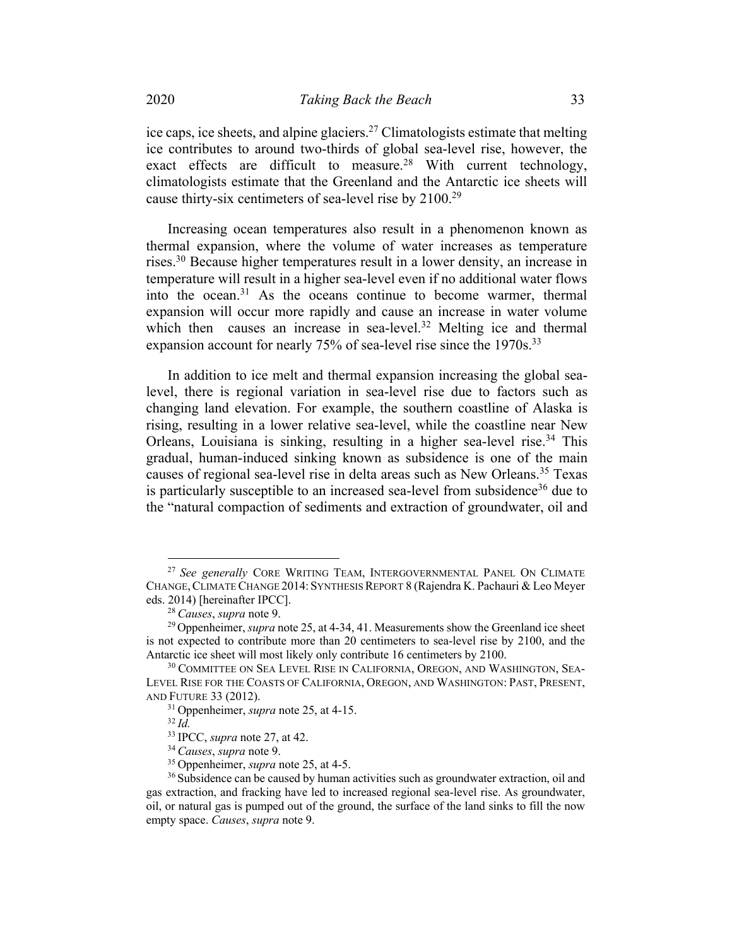ice caps, ice sheets, and alpine glaciers.<sup>27</sup> Climatologists estimate that melting ice contributes to around two-thirds of global sea-level rise, however, the exact effects are difficult to measure.<sup>28</sup> With current technology, climatologists estimate that the Greenland and the Antarctic ice sheets will cause thirty-six centimeters of sea-level rise by 2100.29

Increasing ocean temperatures also result in a phenomenon known as thermal expansion, where the volume of water increases as temperature rises.30 Because higher temperatures result in a lower density, an increase in temperature will result in a higher sea-level even if no additional water flows into the ocean.31 As the oceans continue to become warmer, thermal expansion will occur more rapidly and cause an increase in water volume which then causes an increase in sea-level.<sup>32</sup> Melting ice and thermal expansion account for nearly 75% of sea-level rise since the 1970s.<sup>33</sup>

In addition to ice melt and thermal expansion increasing the global sealevel, there is regional variation in sea-level rise due to factors such as changing land elevation. For example, the southern coastline of Alaska is rising, resulting in a lower relative sea-level, while the coastline near New Orleans, Louisiana is sinking, resulting in a higher sea-level rise.<sup>34</sup> This gradual, human-induced sinking known as subsidence is one of the main causes of regional sea-level rise in delta areas such as New Orleans.35 Texas is particularly susceptible to an increased sea-level from subsidence<sup>36</sup> due to the "natural compaction of sediments and extraction of groundwater, oil and

<sup>27</sup> *See generally* CORE WRITING TEAM, INTERGOVERNMENTAL PANEL ON CLIMATE CHANGE, CLIMATE CHANGE 2014: SYNTHESIS REPORT 8 (Rajendra K. Pachauri & Leo Meyer eds. 2014) [hereinafter IPCC].

<sup>28</sup> *Causes*, *supra* note 9.

<sup>29</sup> Oppenheimer, *supra* note 25, at 4-34, 41. Measurements show the Greenland ice sheet is not expected to contribute more than 20 centimeters to sea-level rise by 2100, and the Antarctic ice sheet will most likely only contribute 16 centimeters by 2100.

<sup>&</sup>lt;sup>30</sup> COMMITTEE ON SEA LEVEL RISE IN CALIFORNIA, OREGON, AND WASHINGTON, SEA-LEVEL RISE FOR THE COASTS OF CALIFORNIA, OREGON, AND WASHINGTON: PAST, PRESENT, AND FUTURE 33 (2012).

<sup>31</sup> Oppenheimer, *supra* note 25, at 4-15.

 $^{32}$  *Id.* 

<sup>33</sup> IPCC, *supra* note 27, at 42.

<sup>34</sup> *Causes*, *supra* note 9.

<sup>35</sup> Oppenheimer, *supra* note 25, at 4-5.

<sup>&</sup>lt;sup>36</sup> Subsidence can be caused by human activities such as groundwater extraction, oil and gas extraction, and fracking have led to increased regional sea-level rise. As groundwater, oil, or natural gas is pumped out of the ground, the surface of the land sinks to fill the now empty space. *Causes*, *supra* note 9.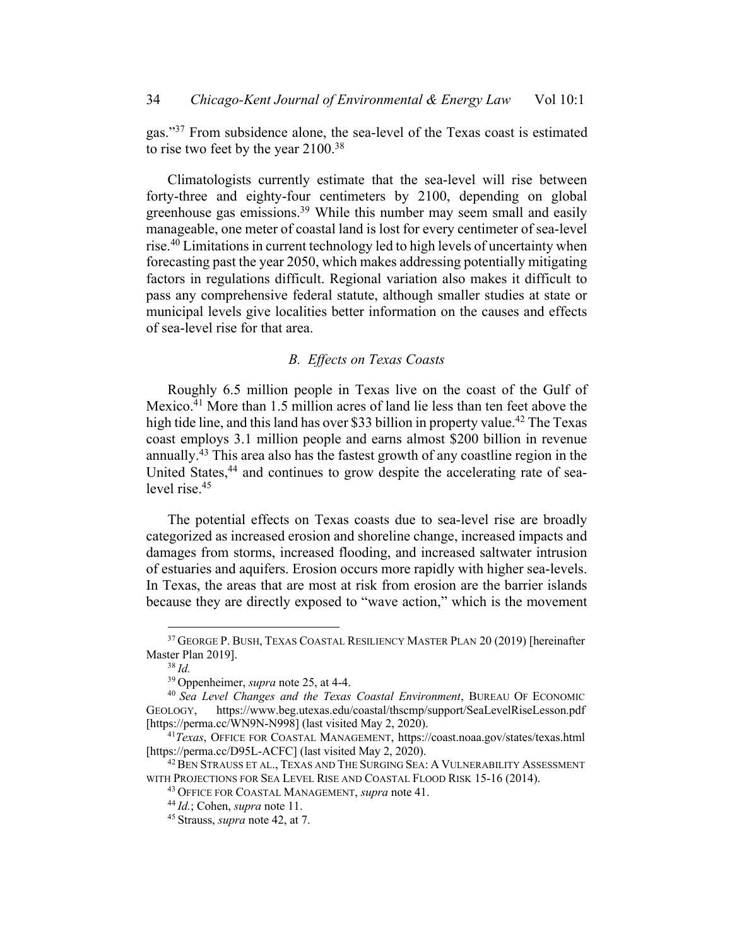gas."37 From subsidence alone, the sea-level of the Texas coast is estimated to rise two feet by the year 2100.<sup>38</sup>

Climatologists currently estimate that the sea-level will rise between forty-three and eighty-four centimeters by 2100, depending on global greenhouse gas emissions.<sup>39</sup> While this number may seem small and easily manageable, one meter of coastal land is lost for every centimeter of sea-level rise.40 Limitations in current technology led to high levels of uncertainty when forecasting past the year 2050, which makes addressing potentially mitigating factors in regulations difficult. Regional variation also makes it difficult to pass any comprehensive federal statute, although smaller studies at state or municipal levels give localities better information on the causes and effects of sea-level rise for that area.

## *B. Effects on Texas Coasts*

Roughly 6.5 million people in Texas live on the coast of the Gulf of Mexico.41 More than 1.5 million acres of land lie less than ten feet above the high tide line, and this land has over \$33 billion in property value.<sup>42</sup> The Texas coast employs 3.1 million people and earns almost \$200 billion in revenue annually.43 This area also has the fastest growth of any coastline region in the United States,<sup>44</sup> and continues to grow despite the accelerating rate of sealevel rise.45

The potential effects on Texas coasts due to sea-level rise are broadly categorized as increased erosion and shoreline change, increased impacts and damages from storms, increased flooding, and increased saltwater intrusion of estuaries and aquifers. Erosion occurs more rapidly with higher sea-levels. In Texas, the areas that are most at risk from erosion are the barrier islands because they are directly exposed to "wave action," which is the movement

<sup>37</sup> GEORGE P. BUSH, TEXAS COASTAL RESILIENCY MASTER PLAN 20 (2019) [hereinafter Master Plan 2019].

<sup>38</sup> *Id.*

<sup>39</sup> Oppenheimer, *supra* note 25, at 4-4.

<sup>40</sup> *Sea Level Changes and the Texas Coastal Environment*, BUREAU OF ECONOMIC GEOLOGY, https://www.beg.utexas.edu/coastal/thscmp/support/SeaLevelRiseLesson.pdf [https://perma.cc/WN9N-N998] (last visited May 2, 2020).

<sup>41</sup>*Texas*, OFFICE FOR COASTAL MANAGEMENT, https://coast.noaa.gov/states/texas.html [https://perma.cc/D95L-ACFC] (last visited May 2, 2020).

<sup>&</sup>lt;sup>42</sup> BEN STRAUSS ET AL., TEXAS AND THE SURGING SEA: A VULNERABILITY ASSESSMENT WITH PROJECTIONS FOR SEA LEVEL RISE AND COASTAL FLOOD RISK 15-16 (2014).

<sup>43</sup> OFFICE FOR COASTAL MANAGEMENT, *supra* note 41.

<sup>44</sup> *Id.*; Cohen, *supra* note 11.

<sup>45</sup> Strauss, *supra* note 42, at 7.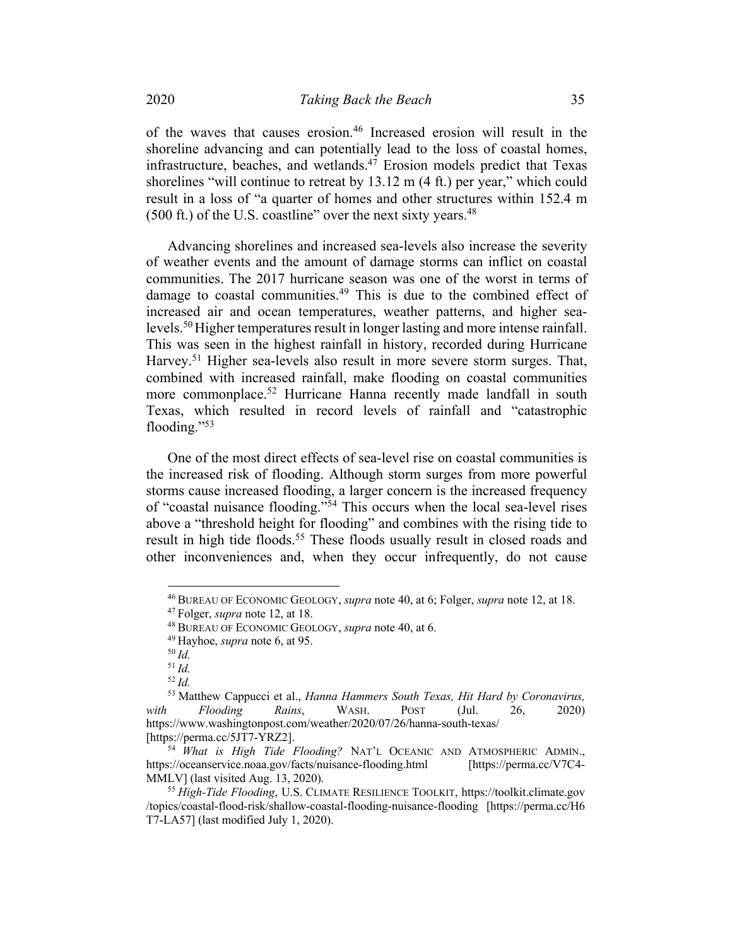of the waves that causes erosion.46 Increased erosion will result in the shoreline advancing and can potentially lead to the loss of coastal homes, infrastructure, beaches, and wetlands.<sup>47</sup> Erosion models predict that Texas shorelines "will continue to retreat by 13.12 m (4 ft.) per year," which could result in a loss of "a quarter of homes and other structures within 152.4 m  $(500 \text{ ft.})$  of the U.S. coastline" over the next sixty years.<sup>48</sup>

Advancing shorelines and increased sea-levels also increase the severity of weather events and the amount of damage storms can inflict on coastal communities. The 2017 hurricane season was one of the worst in terms of damage to coastal communities.<sup>49</sup> This is due to the combined effect of increased air and ocean temperatures, weather patterns, and higher sealevels.<sup>50</sup> Higher temperatures result in longer lasting and more intense rainfall. This was seen in the highest rainfall in history, recorded during Hurricane Harvey.<sup>51</sup> Higher sea-levels also result in more severe storm surges. That, combined with increased rainfall, make flooding on coastal communities more commonplace.<sup>52</sup> Hurricane Hanna recently made landfall in south Texas, which resulted in record levels of rainfall and "catastrophic flooding."53

One of the most direct effects of sea-level rise on coastal communities is the increased risk of flooding. Although storm surges from more powerful storms cause increased flooding, a larger concern is the increased frequency of "coastal nuisance flooding."54 This occurs when the local sea-level rises above a "threshold height for flooding" and combines with the rising tide to result in high tide floods.<sup>55</sup> These floods usually result in closed roads and other inconveniences and, when they occur infrequently, do not cause

<sup>46</sup> BUREAU OF ECONOMIC GEOLOGY, *supra* note 40, at 6; Folger, *supra* note 12, at 18.

<sup>47</sup> Folger, *supra* note 12, at 18.

<sup>48</sup> BUREAU OF ECONOMIC GEOLOGY, *supra* note 40, at 6.

<sup>49</sup> Hayhoe, *supra* note 6, at 95.

<sup>50</sup> *Id.*

<sup>51</sup> *Id.*

<sup>52</sup> *Id.*

<sup>53</sup> Matthew Cappucci et al., *Hanna Hammers South Texas, Hit Hard by Coronavirus, with Flooding Rains*, WASH. POST (Jul. 26, 2020) https://www.washingtonpost.com/weather/2020/07/26/hanna-south-texas/ [https://perma.cc/5JT7-YRZ2].

<sup>54</sup> *What is High Tide Flooding?* NAT'L OCEANIC AND ATMOSPHERIC ADMIN., https://oceanservice.noaa.gov/facts/nuisance-flooding.html [https://perma.cc/V7C4- MMLV] (last visited Aug. 13, 2020).

<sup>55</sup> *High-Tide Flooding*, U.S. CLIMATE RESILIENCE TOOLKIT, https://toolkit.climate.gov /topics/coastal-flood-risk/shallow-coastal-flooding-nuisance-flooding [https://perma.cc/H6 T7-LA57] (last modified July 1, 2020).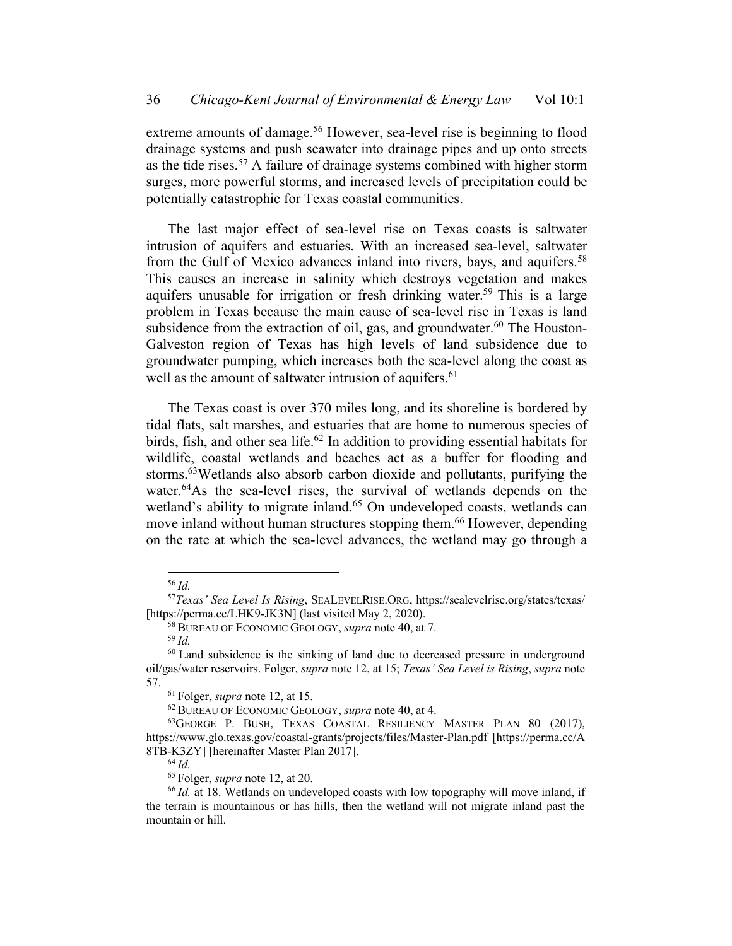extreme amounts of damage.<sup>56</sup> However, sea-level rise is beginning to flood drainage systems and push seawater into drainage pipes and up onto streets as the tide rises.<sup>57</sup> A failure of drainage systems combined with higher storm surges, more powerful storms, and increased levels of precipitation could be potentially catastrophic for Texas coastal communities.

The last major effect of sea-level rise on Texas coasts is saltwater intrusion of aquifers and estuaries. With an increased sea-level, saltwater from the Gulf of Mexico advances inland into rivers, bays, and aquifers.<sup>58</sup> This causes an increase in salinity which destroys vegetation and makes aquifers unusable for irrigation or fresh drinking water.<sup>59</sup> This is a large problem in Texas because the main cause of sea-level rise in Texas is land subsidence from the extraction of oil, gas, and groundwater.<sup>60</sup> The Houston-Galveston region of Texas has high levels of land subsidence due to groundwater pumping, which increases both the sea-level along the coast as well as the amount of saltwater intrusion of aquifers.<sup>61</sup>

The Texas coast is over 370 miles long, and its shoreline is bordered by tidal flats, salt marshes, and estuaries that are home to numerous species of birds, fish, and other sea life.<sup>62</sup> In addition to providing essential habitats for wildlife, coastal wetlands and beaches act as a buffer for flooding and storms.63Wetlands also absorb carbon dioxide and pollutants, purifying the water.<sup>64</sup>As the sea-level rises, the survival of wetlands depends on the wetland's ability to migrate inland.<sup>65</sup> On undeveloped coasts, wetlands can move inland without human structures stopping them.<sup>66</sup> However, depending on the rate at which the sea-level advances, the wetland may go through a

<sup>56</sup> *Id.*

<sup>57</sup>*Texas' Sea Level Is Rising*, SEALEVELRISE.ORG, https://sealevelrise.org/states/texas/ [https://perma.cc/LHK9-JK3N] (last visited May 2, 2020).

<sup>58</sup> BUREAU OF ECONOMIC GEOLOGY, *supra* note 40, at 7.

<sup>59</sup> *Id.*

 $60$  Land subsidence is the sinking of land due to decreased pressure in underground oil/gas/water reservoirs. Folger, *supra* note 12, at 15; *Texas' Sea Level is Rising*, *supra* note 57.

<sup>61</sup> Folger, *supra* note 12, at 15.

<sup>62</sup> BUREAU OF ECONOMIC GEOLOGY, *supra* note 40, at 4.

<sup>63</sup>GEORGE P. BUSH, TEXAS COASTAL RESILIENCY MASTER PLAN 80 (2017), https://www.glo.texas.gov/coastal-grants/projects/files/Master-Plan.pdf [https://perma.cc/A 8TB-K3ZY] [hereinafter Master Plan 2017].

<sup>65</sup> Folger, *supra* note 12, at 20.

<sup>66</sup> *Id.* at 18. Wetlands on undeveloped coasts with low topography will move inland, if the terrain is mountainous or has hills, then the wetland will not migrate inland past the mountain or hill.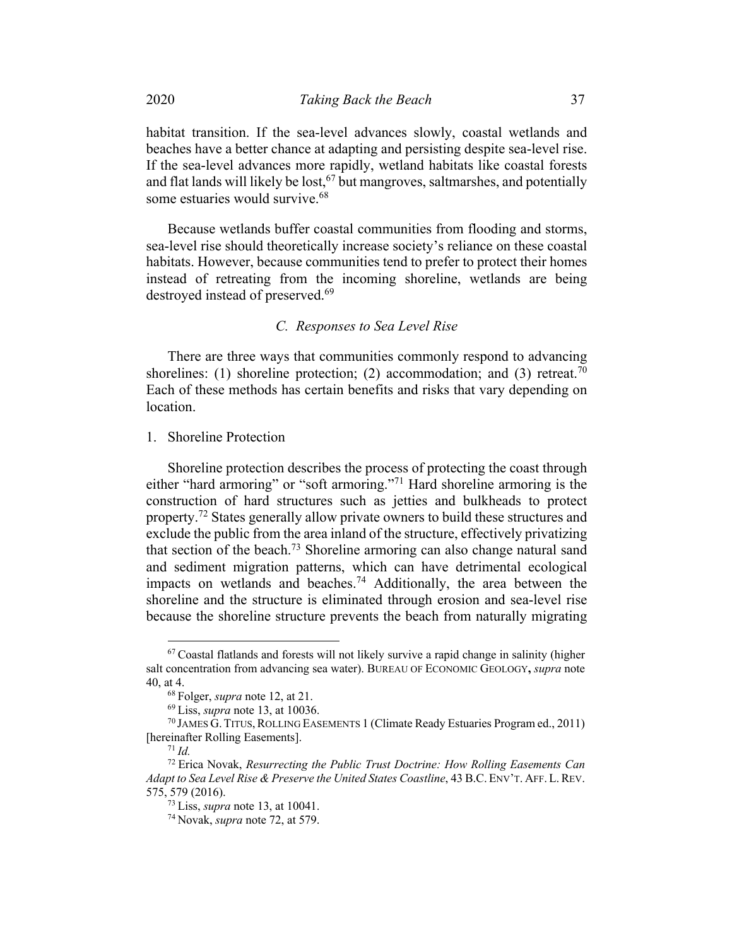habitat transition. If the sea-level advances slowly, coastal wetlands and beaches have a better chance at adapting and persisting despite sea-level rise. If the sea-level advances more rapidly, wetland habitats like coastal forests and flat lands will likely be lost,  $67$  but mangroves, saltmarshes, and potentially some estuaries would survive.<sup>68</sup>

Because wetlands buffer coastal communities from flooding and storms, sea-level rise should theoretically increase society's reliance on these coastal habitats. However, because communities tend to prefer to protect their homes instead of retreating from the incoming shoreline, wetlands are being destroyed instead of preserved.<sup>69</sup>

# *C. Responses to Sea Level Rise*

There are three ways that communities commonly respond to advancing shorelines: (1) shoreline protection; (2) accommodation; and (3) retreat.<sup>70</sup> Each of these methods has certain benefits and risks that vary depending on location.

1. Shoreline Protection

Shoreline protection describes the process of protecting the coast through either "hard armoring" or "soft armoring."<sup>71</sup> Hard shoreline armoring is the construction of hard structures such as jetties and bulkheads to protect property.<sup>72</sup> States generally allow private owners to build these structures and exclude the public from the area inland of the structure, effectively privatizing that section of the beach.<sup>73</sup> Shoreline armoring can also change natural sand and sediment migration patterns, which can have detrimental ecological impacts on wetlands and beaches.<sup>74</sup> Additionally, the area between the shoreline and the structure is eliminated through erosion and sea-level rise because the shoreline structure prevents the beach from naturally migrating

 $67$  Coastal flatlands and forests will not likely survive a rapid change in salinity (higher salt concentration from advancing sea water). BUREAU OF ECONOMIC GEOLOGY**,** *supra* note 40, at 4.

<sup>68</sup> Folger, *supra* note 12, at 21.

<sup>69</sup> Liss, *supra* note 13, at 10036.

<sup>70</sup> JAMES G. TITUS,ROLLING EASEMENTS 1 (Climate Ready Estuaries Program ed., 2011) [hereinafter Rolling Easements].

<sup>71</sup> *Id.*

<sup>72</sup> Erica Novak, *Resurrecting the Public Trust Doctrine: How Rolling Easements Can Adapt to Sea Level Rise & Preserve the United States Coastline*, 43 B.C. ENV'T. AFF. L.REV. 575, 579 (2016).

<sup>73</sup> Liss, *supra* note 13, at 10041.

<sup>74</sup> Novak, *supra* note 72, at 579.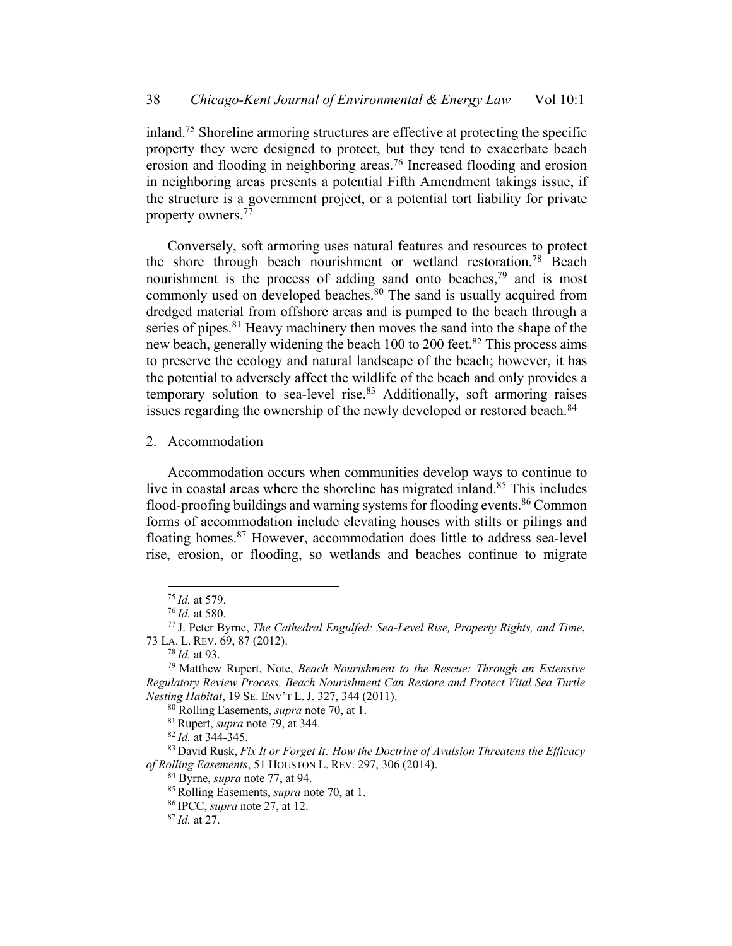inland.75 Shoreline armoring structures are effective at protecting the specific property they were designed to protect, but they tend to exacerbate beach erosion and flooding in neighboring areas.<sup>76</sup> Increased flooding and erosion in neighboring areas presents a potential Fifth Amendment takings issue, if the structure is a government project, or a potential tort liability for private property owners.<sup>77</sup>

Conversely, soft armoring uses natural features and resources to protect the shore through beach nourishment or wetland restoration.<sup>78</sup> Beach nourishment is the process of adding sand onto beaches,<sup>79</sup> and is most commonly used on developed beaches.<sup>80</sup> The sand is usually acquired from dredged material from offshore areas and is pumped to the beach through a series of pipes.<sup>81</sup> Heavy machinery then moves the sand into the shape of the new beach, generally widening the beach 100 to 200 feet.<sup>82</sup> This process aims to preserve the ecology and natural landscape of the beach; however, it has the potential to adversely affect the wildlife of the beach and only provides a temporary solution to sea-level rise.<sup>83</sup> Additionally, soft armoring raises issues regarding the ownership of the newly developed or restored beach.<sup>84</sup>

2. Accommodation

Accommodation occurs when communities develop ways to continue to live in coastal areas where the shoreline has migrated inland.<sup>85</sup> This includes flood-proofing buildings and warning systems for flooding events.<sup>86</sup> Common forms of accommodation include elevating houses with stilts or pilings and floating homes.87 However, accommodation does little to address sea-level rise, erosion, or flooding, so wetlands and beaches continue to migrate

<sup>75</sup> *Id.* at 579.

<sup>76</sup> *Id.* at 580.

<sup>77</sup> J. Peter Byrne, *The Cathedral Engulfed: Sea-Level Rise, Property Rights, and Time*, 73 LA. L. REV. 69, 87 (2012).

<sup>78</sup> *Id.* at 93.

<sup>79</sup> Matthew Rupert, Note, *Beach Nourishment to the Rescue: Through an Extensive Regulatory Review Process, Beach Nourishment Can Restore and Protect Vital Sea Turtle Nesting Habitat*, 19 SE. ENV'T L. J. 327, 344 (2011).

<sup>80</sup> Rolling Easements, *supra* note 70, at 1.

<sup>81</sup> Rupert, *supra* note 79, at 344.

<sup>82</sup> *Id.* at 344-345.

<sup>83</sup> David Rusk, *Fix It or Forget It: How the Doctrine of Avulsion Threatens the Efficacy of Rolling Easements*, 51 HOUSTON L. REV. 297, 306 (2014).

<sup>84</sup> Byrne, *supra* note 77, at 94.

<sup>85</sup> Rolling Easements, *supra* note 70, at 1.

<sup>86</sup> IPCC, *supra* note 27, at 12.

<sup>87</sup> *Id.* at 27.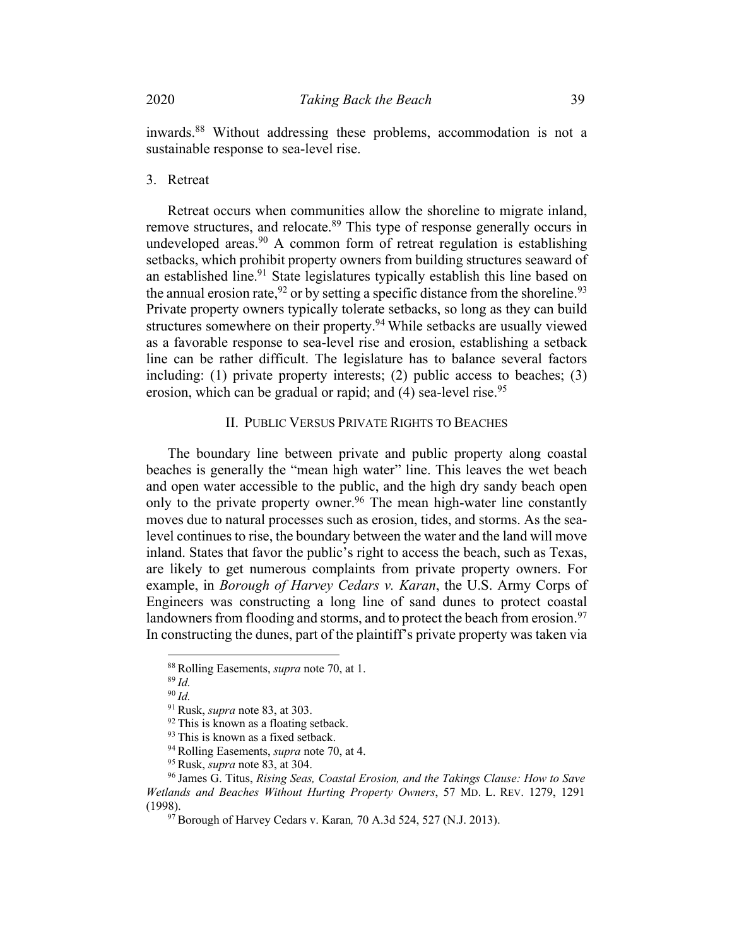inwards.88 Without addressing these problems, accommodation is not a sustainable response to sea-level rise.

3. Retreat

Retreat occurs when communities allow the shoreline to migrate inland, remove structures, and relocate.<sup>89</sup> This type of response generally occurs in undeveloped areas. $90$  A common form of retreat regulation is establishing setbacks, which prohibit property owners from building structures seaward of an established line.<sup>91</sup> State legislatures typically establish this line based on the annual erosion rate,  $92$  or by setting a specific distance from the shoreline.  $93$ Private property owners typically tolerate setbacks, so long as they can build structures somewhere on their property.<sup>94</sup> While setbacks are usually viewed as a favorable response to sea-level rise and erosion, establishing a setback line can be rather difficult. The legislature has to balance several factors including: (1) private property interests; (2) public access to beaches; (3) erosion, which can be gradual or rapid; and  $(4)$  sea-level rise.<sup>95</sup>

## II. PUBLIC VERSUS PRIVATE RIGHTS TO BEACHES

The boundary line between private and public property along coastal beaches is generally the "mean high water" line. This leaves the wet beach and open water accessible to the public, and the high dry sandy beach open only to the private property owner.<sup>96</sup> The mean high-water line constantly moves due to natural processes such as erosion, tides, and storms. As the sealevel continues to rise, the boundary between the water and the land will move inland. States that favor the public's right to access the beach, such as Texas, are likely to get numerous complaints from private property owners. For example, in *Borough of Harvey Cedars v. Karan*, the U.S. Army Corps of Engineers was constructing a long line of sand dunes to protect coastal landowners from flooding and storms, and to protect the beach from erosion.<sup>97</sup> In constructing the dunes, part of the plaintiff's private property was taken via

<sup>88</sup> Rolling Easements, *supra* note 70, at 1.

<sup>89</sup> *Id.*

<sup>90</sup> *Id.*

<sup>91</sup> Rusk, *supra* note 83, at 303.

<sup>&</sup>lt;sup>92</sup> This is known as a floating setback.

<sup>&</sup>lt;sup>93</sup> This is known as a fixed setback.

<sup>94</sup> Rolling Easements, *supra* note 70, at 4.

<sup>95</sup> Rusk, *supra* note 83, at 304.

<sup>96</sup> James G. Titus, *Rising Seas, Coastal Erosion, and the Takings Clause: How to Save Wetlands and Beaches Without Hurting Property Owners*, 57 MD. L. REV. 1279, 1291 (1998).

<sup>97</sup> Borough of Harvey Cedars v. Karan*,* 70 A.3d 524, 527 (N.J. 2013).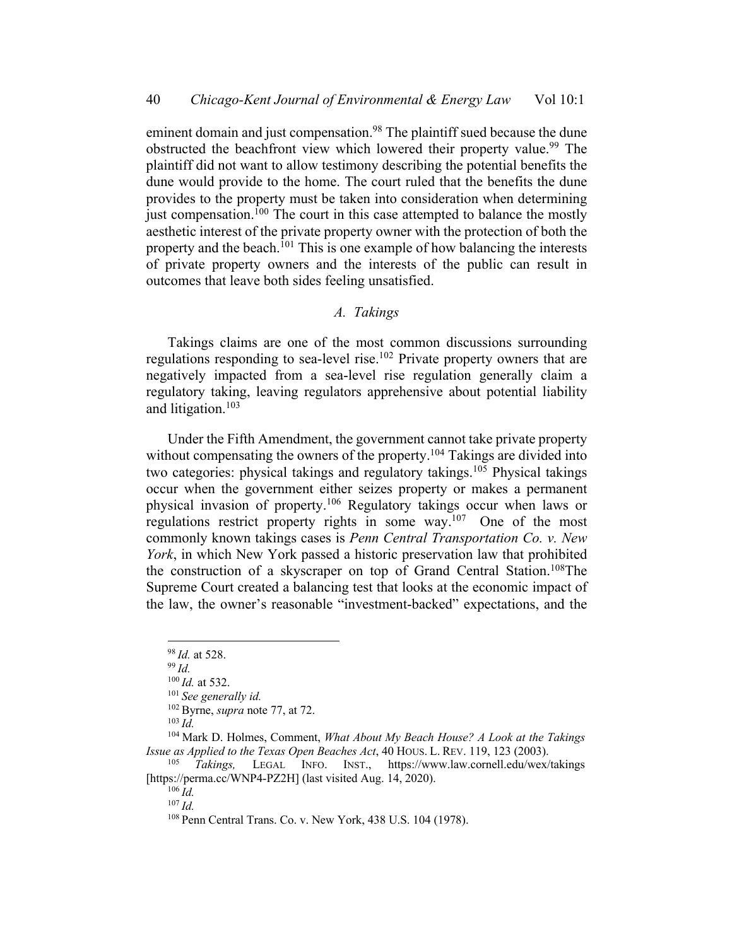eminent domain and just compensation.<sup>98</sup> The plaintiff sued because the dune obstructed the beachfront view which lowered their property value.<sup>99</sup> The plaintiff did not want to allow testimony describing the potential benefits the dune would provide to the home. The court ruled that the benefits the dune provides to the property must be taken into consideration when determining just compensation.<sup>100</sup> The court in this case attempted to balance the mostly aesthetic interest of the private property owner with the protection of both the property and the beach.<sup>101</sup> This is one example of how balancing the interests of private property owners and the interests of the public can result in outcomes that leave both sides feeling unsatisfied.

## *A. Takings*

Takings claims are one of the most common discussions surrounding regulations responding to sea-level rise.102 Private property owners that are negatively impacted from a sea-level rise regulation generally claim a regulatory taking, leaving regulators apprehensive about potential liability and litigation.103

Under the Fifth Amendment, the government cannot take private property without compensating the owners of the property.<sup>104</sup> Takings are divided into two categories: physical takings and regulatory takings.<sup>105</sup> Physical takings occur when the government either seizes property or makes a permanent physical invasion of property.106 Regulatory takings occur when laws or regulations restrict property rights in some way.<sup>107</sup> One of the most commonly known takings cases is *Penn Central Transportation Co. v. New York*, in which New York passed a historic preservation law that prohibited the construction of a skyscraper on top of Grand Central Station.108The Supreme Court created a balancing test that looks at the economic impact of the law, the owner's reasonable "investment-backed" expectations, and the

<sup>98</sup> *Id.* at 528.

<sup>99</sup> *Id.*

<sup>100</sup> *Id.* at 532.

<sup>101</sup> *See generally id.*

<sup>102</sup> Byrne, *supra* note 77, at 72.

 $103 \overrightarrow{Id}$ 

<sup>104</sup> Mark D. Holmes, Comment, *What About My Beach House? A Look at the Takings Issue as Applied to the Texas Open Beaches Act*, 40 HOUS. L. REV. 119, 123 (2003).

Takings, LEGAL INFO. INST., https://www.law.cornell.edu/wex/takings [https://perma.cc/WNP4-PZ2H] (last visited Aug. 14, 2020).

<sup>106</sup> *Id.*

<sup>107</sup> *Id.*

<sup>108</sup> Penn Central Trans. Co. v. New York, 438 U.S. 104 (1978).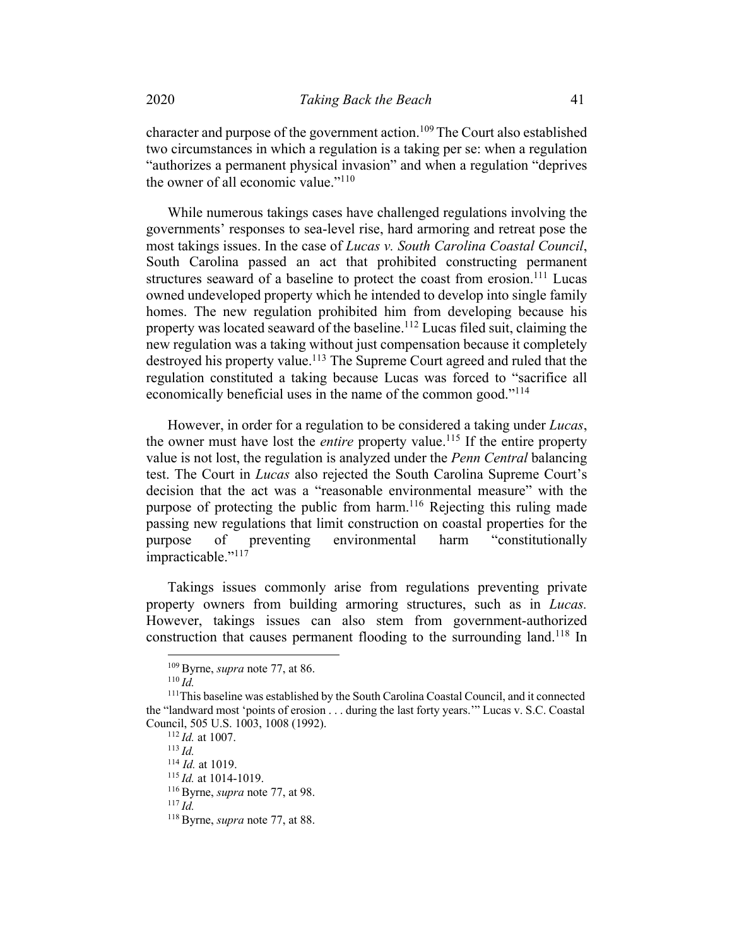character and purpose of the government action.<sup>109</sup> The Court also established two circumstances in which a regulation is a taking per se: when a regulation "authorizes a permanent physical invasion" and when a regulation "deprives the owner of all economic value." $110$ 

While numerous takings cases have challenged regulations involving the governments' responses to sea-level rise, hard armoring and retreat pose the most takings issues. In the case of *Lucas v. South Carolina Coastal Council*, South Carolina passed an act that prohibited constructing permanent structures seaward of a baseline to protect the coast from erosion.<sup>111</sup> Lucas owned undeveloped property which he intended to develop into single family homes. The new regulation prohibited him from developing because his property was located seaward of the baseline.<sup>112</sup> Lucas filed suit, claiming the new regulation was a taking without just compensation because it completely destroyed his property value.<sup>113</sup> The Supreme Court agreed and ruled that the regulation constituted a taking because Lucas was forced to "sacrifice all economically beneficial uses in the name of the common good."<sup>114</sup>

However, in order for a regulation to be considered a taking under *Lucas*, the owner must have lost the *entire* property value.<sup>115</sup> If the entire property value is not lost, the regulation is analyzed under the *Penn Central* balancing test. The Court in *Lucas* also rejected the South Carolina Supreme Court's decision that the act was a "reasonable environmental measure" with the purpose of protecting the public from harm.<sup>116</sup> Rejecting this ruling made passing new regulations that limit construction on coastal properties for the purpose of preventing environmental harm "constitutionally impracticable."<sup>117</sup>

Takings issues commonly arise from regulations preventing private property owners from building armoring structures, such as in *Lucas.* However, takings issues can also stem from government-authorized construction that causes permanent flooding to the surrounding land.<sup>118</sup> In

<sup>112</sup> *Id.* at 1007.

<sup>113</sup> *Id.*

<sup>114</sup> *Id.* at 1019.

<sup>115</sup> *Id.* at 1014-1019.

<sup>109</sup> Byrne, *supra* note 77, at 86.

<sup>110</sup> *Id.*

<sup>111</sup>This baseline was established by the South Carolina Coastal Council, and it connected the "landward most 'points of erosion . . . during the last forty years.'" Lucas v. S.C. Coastal Council, 505 U.S. 1003, 1008 (1992).

<sup>116</sup> Byrne, *supra* note 77, at 98.

<sup>118</sup> Byrne, *supra* note 77, at 88.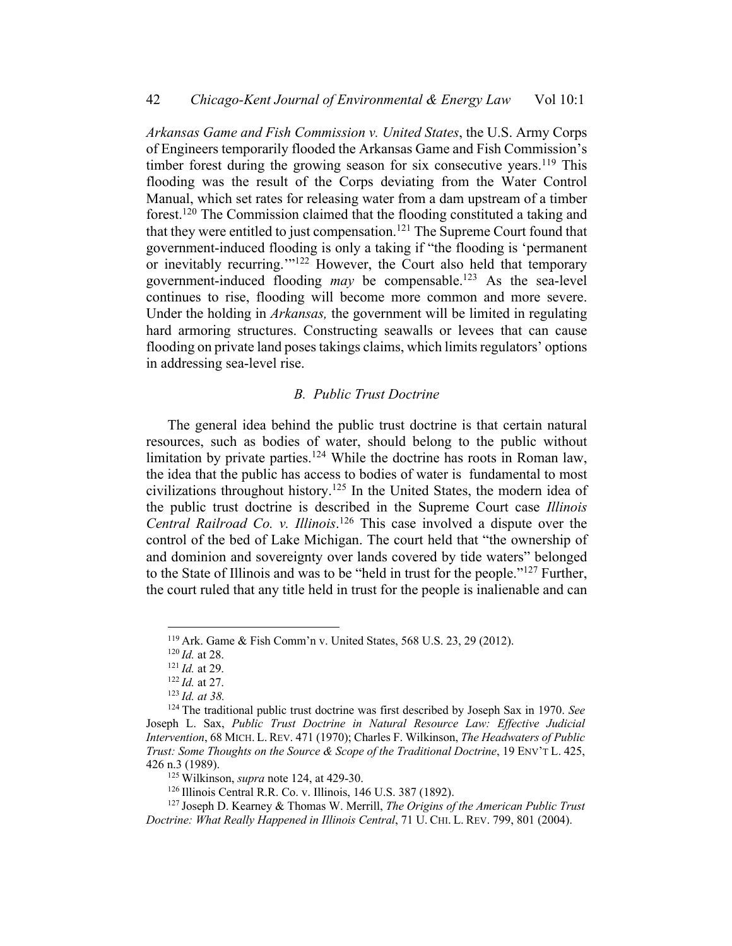*Arkansas Game and Fish Commission v. United States*, the U.S. Army Corps of Engineers temporarily flooded the Arkansas Game and Fish Commission's timber forest during the growing season for six consecutive years.<sup>119</sup> This flooding was the result of the Corps deviating from the Water Control Manual, which set rates for releasing water from a dam upstream of a timber forest.120 The Commission claimed that the flooding constituted a taking and that they were entitled to just compensation.<sup>121</sup> The Supreme Court found that government-induced flooding is only a taking if "the flooding is 'permanent or inevitably recurring.'"122 However, the Court also held that temporary government-induced flooding *may* be compensable.123 As the sea-level continues to rise, flooding will become more common and more severe. Under the holding in *Arkansas,* the government will be limited in regulating hard armoring structures. Constructing seawalls or levees that can cause flooding on private land poses takings claims, which limits regulators' options in addressing sea-level rise.

# *B. Public Trust Doctrine*

The general idea behind the public trust doctrine is that certain natural resources, such as bodies of water, should belong to the public without limitation by private parties.<sup>124</sup> While the doctrine has roots in Roman law, the idea that the public has access to bodies of water is fundamental to most civilizations throughout history.<sup>125</sup> In the United States, the modern idea of the public trust doctrine is described in the Supreme Court case *Illinois Central Railroad Co. v. Illinois*. <sup>126</sup> This case involved a dispute over the control of the bed of Lake Michigan. The court held that "the ownership of and dominion and sovereignty over lands covered by tide waters" belonged to the State of Illinois and was to be "held in trust for the people."127 Further, the court ruled that any title held in trust for the people is inalienable and can

<sup>119</sup> Ark. Game & Fish Comm'n v. United States, 568 U.S. 23, 29 (2012).

<sup>120</sup> *Id.* at 28.

<sup>121</sup> *Id.* at 29.

<sup>122</sup> *Id.* at 27.

<sup>123</sup> *Id. at 38.*

<sup>124</sup> The traditional public trust doctrine was first described by Joseph Sax in 1970. *See*  Joseph L. Sax, *Public Trust Doctrine in Natural Resource Law: Effective Judicial Intervention*, 68 MICH. L. REV. 471 (1970); Charles F. Wilkinson, *The Headwaters of Public Trust: Some Thoughts on the Source & Scope of the Traditional Doctrine*, 19 ENV'T L. 425, 426 n.3 (1989).

<sup>125</sup> Wilkinson, *supra* note 124, at 429-30.

<sup>126</sup> Illinois Central R.R. Co. v. Illinois, 146 U.S. 387 (1892).

<sup>127</sup> Joseph D. Kearney & Thomas W. Merrill, *The Origins of the American Public Trust Doctrine: What Really Happened in Illinois Central*, 71 U. CHI. L. REV. 799, 801 (2004).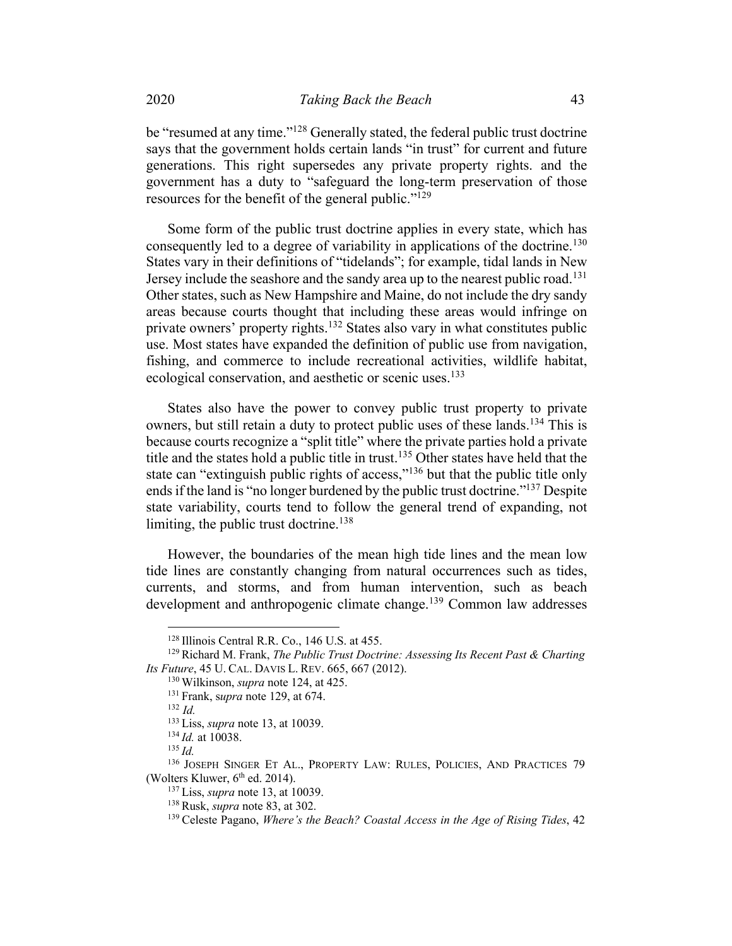be "resumed at any time."<sup>128</sup> Generally stated, the federal public trust doctrine says that the government holds certain lands "in trust" for current and future generations. This right supersedes any private property rights. and the government has a duty to "safeguard the long-term preservation of those resources for the benefit of the general public."129

Some form of the public trust doctrine applies in every state, which has consequently led to a degree of variability in applications of the doctrine.<sup>130</sup> States vary in their definitions of "tidelands"; for example, tidal lands in New Jersey include the seashore and the sandy area up to the nearest public road.<sup>131</sup> Other states, such as New Hampshire and Maine, do not include the dry sandy areas because courts thought that including these areas would infringe on private owners' property rights.<sup>132</sup> States also vary in what constitutes public use. Most states have expanded the definition of public use from navigation, fishing, and commerce to include recreational activities, wildlife habitat, ecological conservation, and aesthetic or scenic uses.<sup>133</sup>

States also have the power to convey public trust property to private owners, but still retain a duty to protect public uses of these lands.<sup>134</sup> This is because courts recognize a "split title" where the private parties hold a private title and the states hold a public title in trust.135 Other states have held that the state can "extinguish public rights of access,"<sup>136</sup> but that the public title only ends if the land is "no longer burdened by the public trust doctrine."137 Despite state variability, courts tend to follow the general trend of expanding, not limiting, the public trust doctrine.<sup>138</sup>

However, the boundaries of the mean high tide lines and the mean low tide lines are constantly changing from natural occurrences such as tides, currents, and storms, and from human intervention, such as beach development and anthropogenic climate change.<sup>139</sup> Common law addresses

<sup>128</sup> Illinois Central R.R. Co., 146 U.S. at 455.

<sup>129</sup> Richard M. Frank, *The Public Trust Doctrine: Assessing Its Recent Past & Charting Its Future*, 45 U. CAL. DAVIS L. REV. 665, 667 (2012).

<sup>130</sup> Wilkinson, *supra* note 124, at 425.

<sup>131</sup> Frank, s*upra* note 129, at 674.

<sup>132</sup> *Id.*

<sup>133</sup> Liss, *supra* note 13, at 10039.

<sup>134</sup> *Id.* at 10038.

<sup>136</sup> JOSEPH SINGER ET AL., PROPERTY LAW: RULES, POLICIES, AND PRACTICES 79 (Wolters Kluwer,  $6<sup>th</sup>$  ed. 2014).

<sup>137</sup> Liss, *supra* note 13, at 10039.

<sup>138</sup> Rusk, *supra* note 83, at 302.

<sup>139</sup> Celeste Pagano, *Where's the Beach? Coastal Access in the Age of Rising Tides*, 42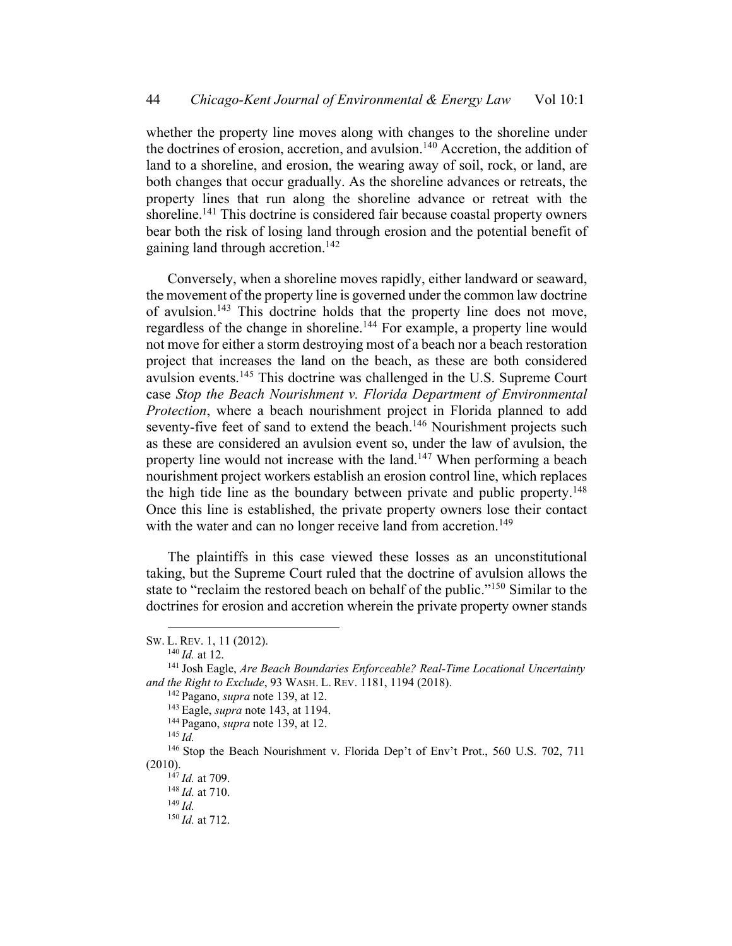whether the property line moves along with changes to the shoreline under the doctrines of erosion, accretion, and avulsion.<sup>140</sup> Accretion, the addition of land to a shoreline, and erosion, the wearing away of soil, rock, or land, are both changes that occur gradually. As the shoreline advances or retreats, the property lines that run along the shoreline advance or retreat with the shoreline.<sup>141</sup> This doctrine is considered fair because coastal property owners bear both the risk of losing land through erosion and the potential benefit of gaining land through accretion.<sup>142</sup>

Conversely, when a shoreline moves rapidly, either landward or seaward, the movement of the property line is governed under the common law doctrine of avulsion.143 This doctrine holds that the property line does not move, regardless of the change in shoreline.<sup>144</sup> For example, a property line would not move for either a storm destroying most of a beach nor a beach restoration project that increases the land on the beach, as these are both considered avulsion events.145 This doctrine was challenged in the U.S. Supreme Court case *Stop the Beach Nourishment v. Florida Department of Environmental Protection*, where a beach nourishment project in Florida planned to add seventy-five feet of sand to extend the beach.<sup>146</sup> Nourishment projects such as these are considered an avulsion event so, under the law of avulsion, the property line would not increase with the land.<sup>147</sup> When performing a beach nourishment project workers establish an erosion control line, which replaces the high tide line as the boundary between private and public property.<sup>148</sup> Once this line is established, the private property owners lose their contact with the water and can no longer receive land from accretion.<sup>149</sup>

The plaintiffs in this case viewed these losses as an unconstitutional taking, but the Supreme Court ruled that the doctrine of avulsion allows the state to "reclaim the restored beach on behalf of the public."<sup>150</sup> Similar to the doctrines for erosion and accretion wherein the private property owner stands

SW. L. REV. 1, 11 (2012).

<sup>140</sup> *Id.* at 12.

<sup>141</sup> Josh Eagle, *Are Beach Boundaries Enforceable? Real-Time Locational Uncertainty and the Right to Exclude*, 93 WASH. L. REV. 1181, 1194 (2018).

<sup>142</sup> Pagano, *supra* note 139, at 12.

<sup>143</sup> Eagle, *supra* note 143, at 1194.

<sup>144</sup> Pagano, *supra* note 139, at 12.

<sup>145</sup> *Id.*

<sup>&</sup>lt;sup>146</sup> Stop the Beach Nourishment v. Florida Dep't of Env't Prot., 560 U.S. 702, 711 (2010).

 $^{147}$  *Id.* at 709.

<sup>148</sup> *Id.* at 710.

<sup>149</sup> *Id.*

<sup>150</sup> *Id.* at 712.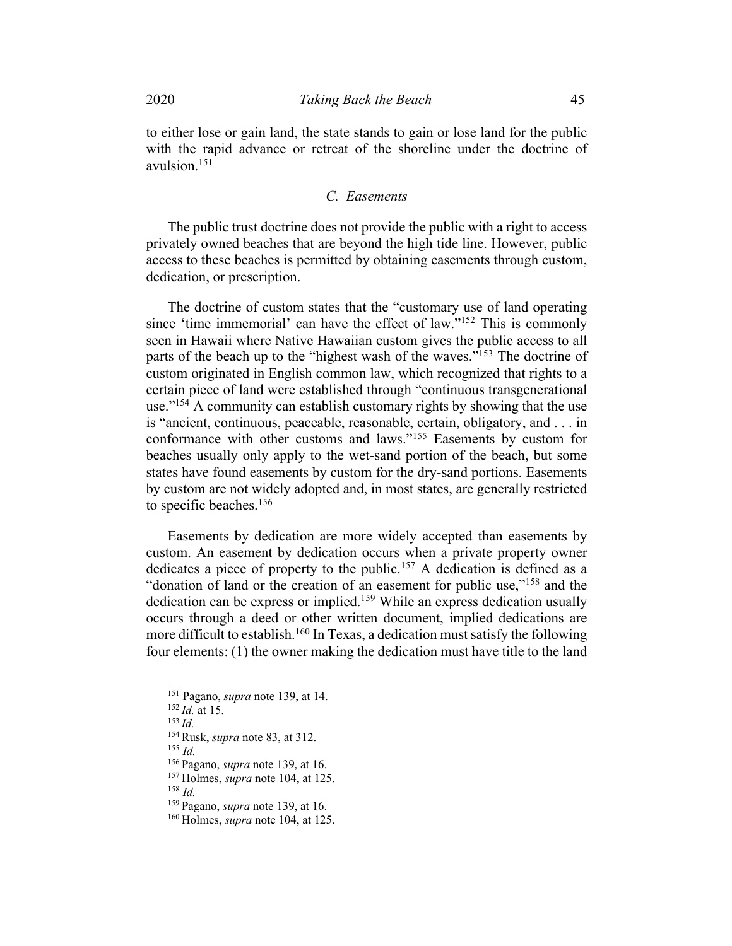to either lose or gain land, the state stands to gain or lose land for the public with the rapid advance or retreat of the shoreline under the doctrine of avulsion.151

## *C. Easements*

The public trust doctrine does not provide the public with a right to access privately owned beaches that are beyond the high tide line. However, public access to these beaches is permitted by obtaining easements through custom, dedication, or prescription.

The doctrine of custom states that the "customary use of land operating since 'time immemorial' can have the effect of law."152 This is commonly seen in Hawaii where Native Hawaiian custom gives the public access to all parts of the beach up to the "highest wash of the waves."<sup>153</sup> The doctrine of custom originated in English common law, which recognized that rights to a certain piece of land were established through "continuous transgenerational use."<sup>154</sup> A community can establish customary rights by showing that the use is "ancient, continuous, peaceable, reasonable, certain, obligatory, and . . . in conformance with other customs and laws."155 Easements by custom for beaches usually only apply to the wet-sand portion of the beach, but some states have found easements by custom for the dry-sand portions. Easements by custom are not widely adopted and, in most states, are generally restricted to specific beaches.156

Easements by dedication are more widely accepted than easements by custom. An easement by dedication occurs when a private property owner dedicates a piece of property to the public.<sup>157</sup> A dedication is defined as a "donation of land or the creation of an easement for public use,"<sup>158</sup> and the dedication can be express or implied.159 While an express dedication usually occurs through a deed or other written document, implied dedications are more difficult to establish.160 In Texas, a dedication must satisfy the following four elements: (1) the owner making the dedication must have title to the land

<sup>155</sup> *Id.*

<sup>156</sup> Pagano, *supra* note 139, at 16.

<sup>158</sup> *Id.*

<sup>159</sup> Pagano, *supra* note 139, at 16.

<sup>151</sup> Pagano, *supra* note 139, at 14.

<sup>152</sup> *Id.* at 15.

<sup>153</sup> *Id.*

<sup>154</sup> Rusk, *supra* note 83, at 312.

<sup>157</sup> Holmes, *supra* note 104, at 125.

<sup>160</sup> Holmes, *supra* note 104, at 125.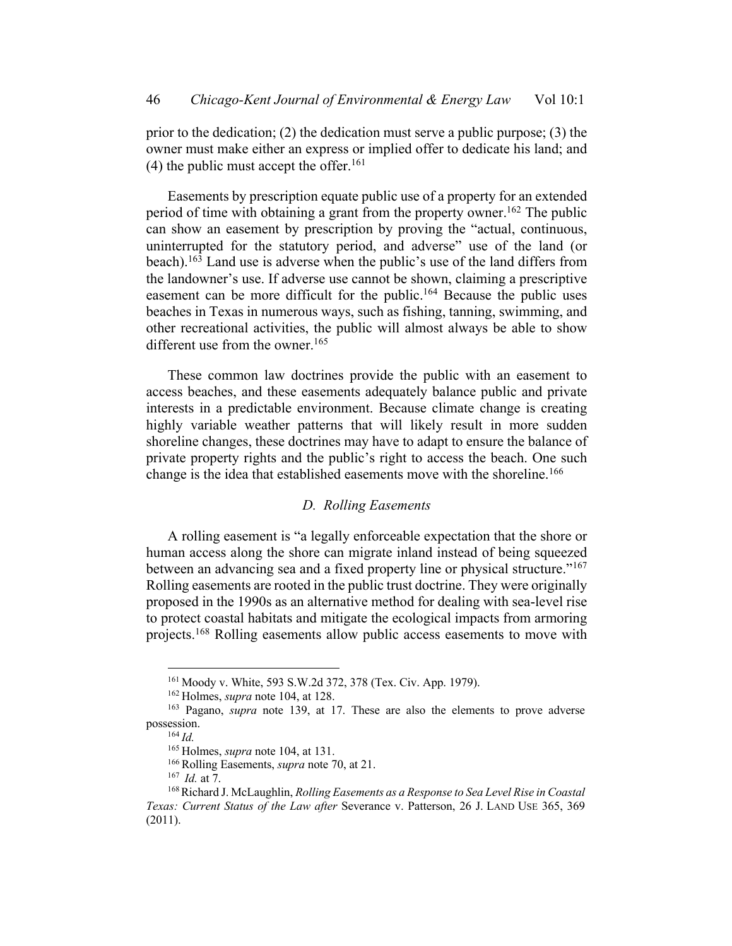prior to the dedication; (2) the dedication must serve a public purpose; (3) the owner must make either an express or implied offer to dedicate his land; and (4) the public must accept the offer.<sup>161</sup>

Easements by prescription equate public use of a property for an extended period of time with obtaining a grant from the property owner.<sup>162</sup> The public can show an easement by prescription by proving the "actual, continuous, uninterrupted for the statutory period, and adverse" use of the land (or beach).163 Land use is adverse when the public's use of the land differs from the landowner's use. If adverse use cannot be shown, claiming a prescriptive easement can be more difficult for the public.<sup>164</sup> Because the public uses beaches in Texas in numerous ways, such as fishing, tanning, swimming, and other recreational activities, the public will almost always be able to show different use from the owner.<sup>165</sup>

These common law doctrines provide the public with an easement to access beaches, and these easements adequately balance public and private interests in a predictable environment. Because climate change is creating highly variable weather patterns that will likely result in more sudden shoreline changes, these doctrines may have to adapt to ensure the balance of private property rights and the public's right to access the beach. One such change is the idea that established easements move with the shoreline.<sup>166</sup>

# *D. Rolling Easements*

A rolling easement is "a legally enforceable expectation that the shore or human access along the shore can migrate inland instead of being squeezed between an advancing sea and a fixed property line or physical structure."<sup>167</sup> Rolling easements are rooted in the public trust doctrine. They were originally proposed in the 1990s as an alternative method for dealing with sea-level rise to protect coastal habitats and mitigate the ecological impacts from armoring projects.168 Rolling easements allow public access easements to move with

<sup>161</sup> Moody v. White, 593 S.W.2d 372, 378 (Tex. Civ. App. 1979).

<sup>162</sup> Holmes, *supra* note 104, at 128.

<sup>163</sup> Pagano, *supra* note 139, at 17. These are also the elements to prove adverse possession.

<sup>164</sup> *Id.*

<sup>165</sup> Holmes, *supra* note 104, at 131.

<sup>166</sup> Rolling Easements, *supra* note 70, at 21.

<sup>167</sup> *Id.* at 7.

<sup>168</sup>Richard J. McLaughlin, *Rolling Easements as a Response to Sea Level Rise in Coastal Texas: Current Status of the Law after* Severance v. Patterson, 26 J. LAND USE 365, 369 (2011).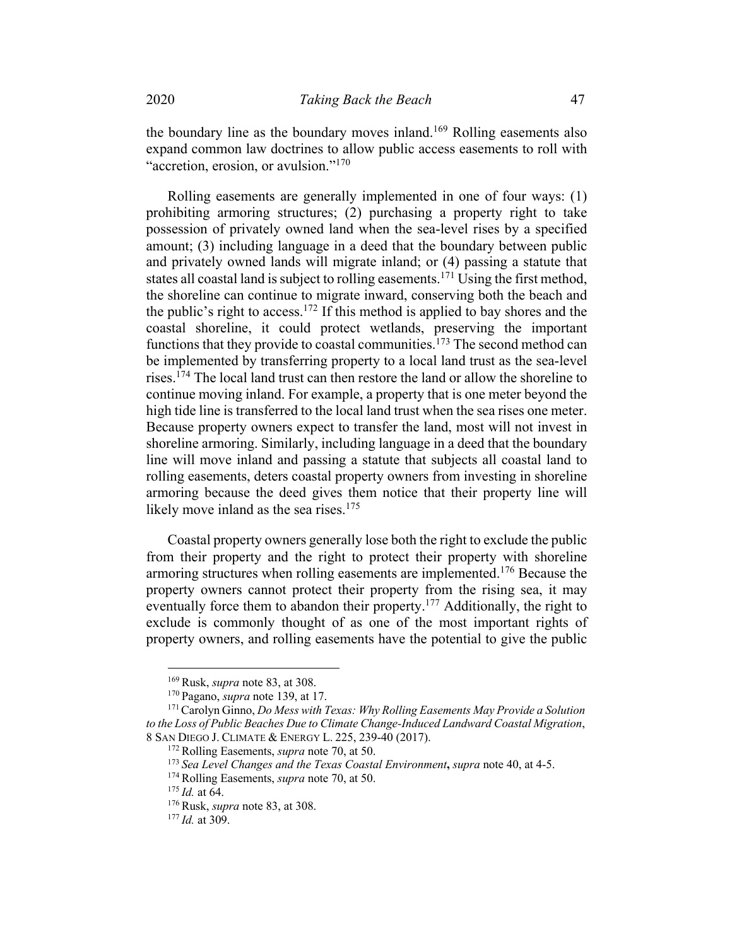the boundary line as the boundary moves inland.<sup>169</sup> Rolling easements also expand common law doctrines to allow public access easements to roll with "accretion, erosion, or avulsion."170

Rolling easements are generally implemented in one of four ways: (1) prohibiting armoring structures; (2) purchasing a property right to take possession of privately owned land when the sea-level rises by a specified amount; (3) including language in a deed that the boundary between public and privately owned lands will migrate inland; or (4) passing a statute that states all coastal land is subject to rolling easements.<sup>171</sup> Using the first method, the shoreline can continue to migrate inward, conserving both the beach and the public's right to access.<sup>172</sup> If this method is applied to bay shores and the coastal shoreline, it could protect wetlands, preserving the important functions that they provide to coastal communities.<sup>173</sup> The second method can be implemented by transferring property to a local land trust as the sea-level rises.174 The local land trust can then restore the land or allow the shoreline to continue moving inland. For example, a property that is one meter beyond the high tide line is transferred to the local land trust when the sea rises one meter. Because property owners expect to transfer the land, most will not invest in shoreline armoring. Similarly, including language in a deed that the boundary line will move inland and passing a statute that subjects all coastal land to rolling easements, deters coastal property owners from investing in shoreline armoring because the deed gives them notice that their property line will likely move inland as the sea rises.<sup>175</sup>

Coastal property owners generally lose both the right to exclude the public from their property and the right to protect their property with shoreline armoring structures when rolling easements are implemented.<sup>176</sup> Because the property owners cannot protect their property from the rising sea, it may eventually force them to abandon their property.<sup>177</sup> Additionally, the right to exclude is commonly thought of as one of the most important rights of property owners, and rolling easements have the potential to give the public

<sup>169</sup> Rusk, *supra* note 83, at 308.

<sup>170</sup> Pagano, *supra* note 139, at 17.

<sup>171</sup>Carolyn Ginno, *Do Mess with Texas: Why Rolling Easements May Provide a Solution to the Loss of Public Beaches Due to Climate Change-Induced Landward Coastal Migration*, 8 SAN DIEGO J. CLIMATE & ENERGY L. 225, 239-40 (2017).

<sup>172</sup> Rolling Easements, *supra* note 70, at 50.

<sup>173</sup> *Sea Level Changes and the Texas Coastal Environment***,** *supra* note 40, at 4-5.

<sup>174</sup> Rolling Easements, *supra* note 70, at 50.

<sup>175</sup> *Id.* at 64.

<sup>176</sup> Rusk, *supra* note 83, at 308.

<sup>177</sup> *Id.* at 309.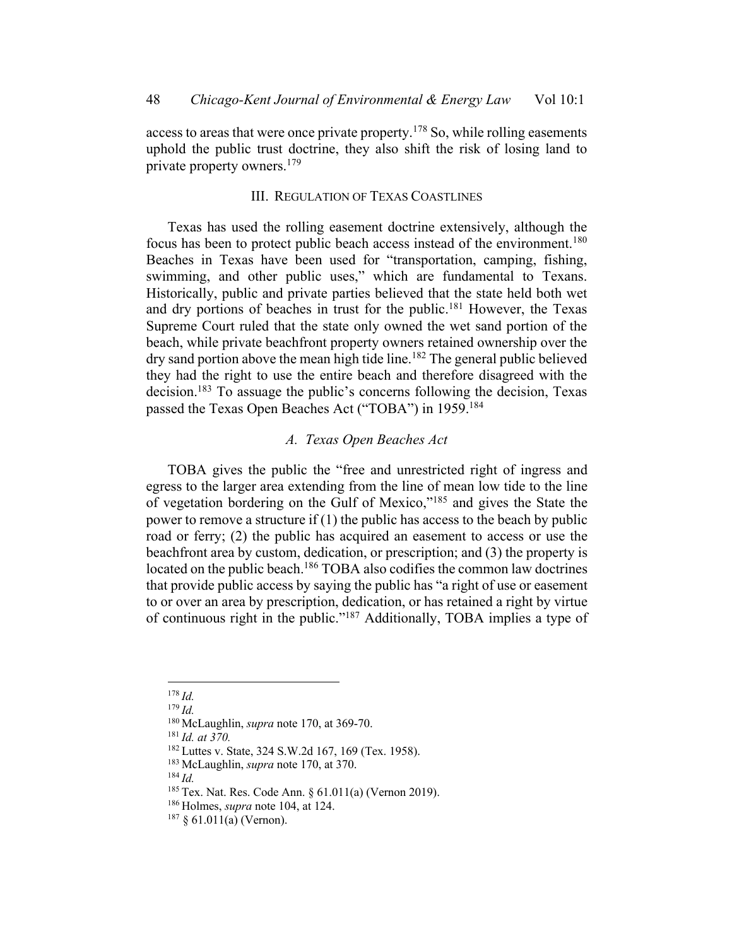access to areas that were once private property.<sup>178</sup> So, while rolling easements uphold the public trust doctrine, they also shift the risk of losing land to private property owners.179

# III. REGULATION OF TEXAS COASTLINES

Texas has used the rolling easement doctrine extensively, although the focus has been to protect public beach access instead of the environment.<sup>180</sup> Beaches in Texas have been used for "transportation, camping, fishing, swimming, and other public uses," which are fundamental to Texans. Historically, public and private parties believed that the state held both wet and dry portions of beaches in trust for the public.181 However, the Texas Supreme Court ruled that the state only owned the wet sand portion of the beach, while private beachfront property owners retained ownership over the dry sand portion above the mean high tide line.<sup>182</sup> The general public believed they had the right to use the entire beach and therefore disagreed with the decision.183 To assuage the public's concerns following the decision, Texas passed the Texas Open Beaches Act ("TOBA") in 1959.<sup>184</sup>

# *A. Texas Open Beaches Act*

TOBA gives the public the "free and unrestricted right of ingress and egress to the larger area extending from the line of mean low tide to the line of vegetation bordering on the Gulf of Mexico,"185 and gives the State the power to remove a structure if  $(1)$  the public has access to the beach by public road or ferry; (2) the public has acquired an easement to access or use the beachfront area by custom, dedication, or prescription; and (3) the property is located on the public beach.<sup>186</sup> TOBA also codifies the common law doctrines that provide public access by saying the public has "a right of use or easement to or over an area by prescription, dedication, or has retained a right by virtue of continuous right in the public."187 Additionally, TOBA implies a type of

<sup>179</sup> *Id.*

<sup>178</sup> *Id.*

<sup>180</sup> McLaughlin, *supra* note 170, at 369-70.

<sup>181</sup> *Id. at 370.*

<sup>182</sup> Luttes v. State, 324 S.W.2d 167, 169 (Tex. 1958).

<sup>183</sup> McLaughlin, *supra* note 170, at 370.

<sup>185</sup> Tex. Nat. Res. Code Ann. § 61.011(a) (Vernon 2019).

<sup>186</sup> Holmes, *supra* note 104, at 124.

 $187 \& 61.011(a)$  (Vernon).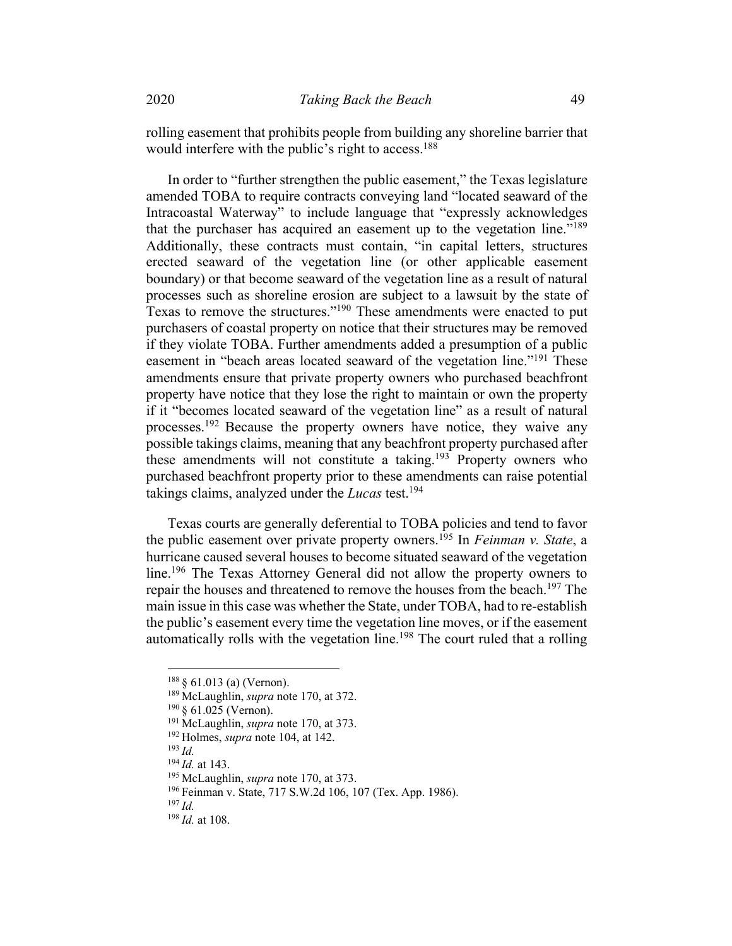rolling easement that prohibits people from building any shoreline barrier that would interfere with the public's right to access.<sup>188</sup>

In order to "further strengthen the public easement," the Texas legislature amended TOBA to require contracts conveying land "located seaward of the Intracoastal Waterway" to include language that "expressly acknowledges that the purchaser has acquired an easement up to the vegetation line."<sup>189</sup> Additionally, these contracts must contain, "in capital letters, structures erected seaward of the vegetation line (or other applicable easement boundary) or that become seaward of the vegetation line as a result of natural processes such as shoreline erosion are subject to a lawsuit by the state of Texas to remove the structures."<sup>190</sup> These amendments were enacted to put purchasers of coastal property on notice that their structures may be removed if they violate TOBA. Further amendments added a presumption of a public easement in "beach areas located seaward of the vegetation line."<sup>191</sup> These amendments ensure that private property owners who purchased beachfront property have notice that they lose the right to maintain or own the property if it "becomes located seaward of the vegetation line" as a result of natural processes.<sup>192</sup> Because the property owners have notice, they waive any possible takings claims, meaning that any beachfront property purchased after these amendments will not constitute a taking.<sup>193</sup> Property owners who purchased beachfront property prior to these amendments can raise potential takings claims, analyzed under the *Lucas* test.194

Texas courts are generally deferential to TOBA policies and tend to favor the public easement over private property owners.195 In *Feinman v. State*, a hurricane caused several houses to become situated seaward of the vegetation line.<sup>196</sup> The Texas Attorney General did not allow the property owners to repair the houses and threatened to remove the houses from the beach.<sup>197</sup> The main issue in this case was whether the State, under TOBA, had to re-establish the public's easement every time the vegetation line moves, or if the easement automatically rolls with the vegetation line.<sup>198</sup> The court ruled that a rolling

<sup>193</sup> *Id.*

<sup>188</sup> § 61.013 (a) (Vernon).

<sup>189</sup> McLaughlin, *supra* note 170, at 372.

 $190 \text{ § } 61.025$  (Vernon).

<sup>191</sup> McLaughlin, *supra* note 170, at 373.

<sup>192</sup> Holmes, *supra* note 104, at 142.

<sup>194</sup> *Id.* at 143.

<sup>195</sup> McLaughlin, *supra* note 170, at 373.

<sup>196</sup> Feinman v. State, 717 S.W.2d 106, 107 (Tex. App. 1986).

<sup>198</sup> *Id.* at 108.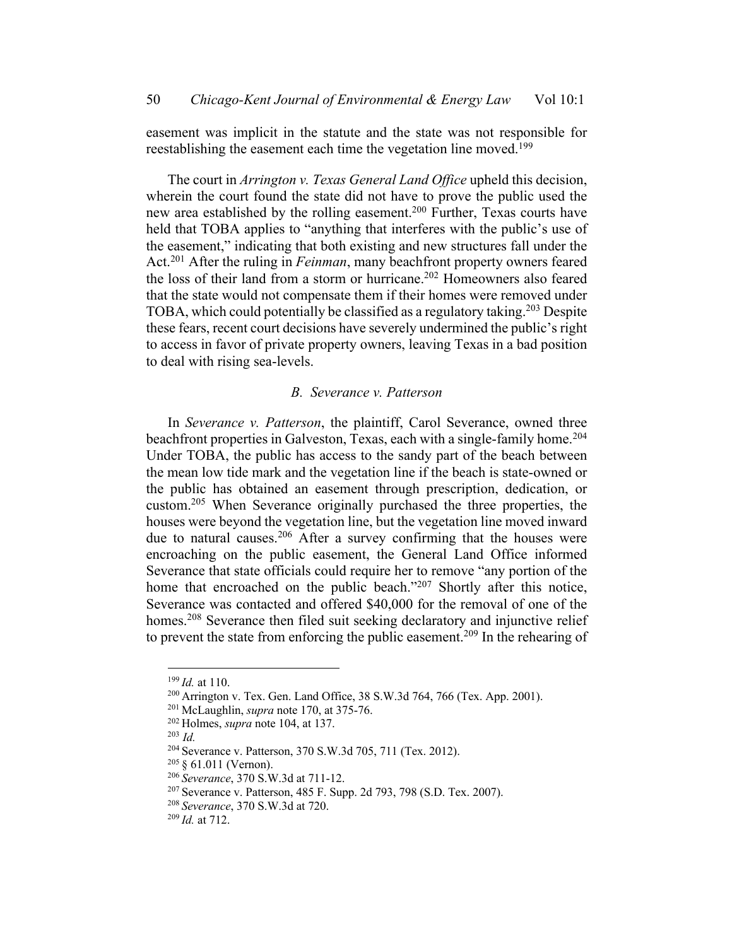easement was implicit in the statute and the state was not responsible for reestablishing the easement each time the vegetation line moved.<sup>199</sup>

The court in *Arrington v. Texas General Land Office* upheld this decision, wherein the court found the state did not have to prove the public used the new area established by the rolling easement.200 Further, Texas courts have held that TOBA applies to "anything that interferes with the public's use of the easement," indicating that both existing and new structures fall under the Act.201 After the ruling in *Feinman*, many beachfront property owners feared the loss of their land from a storm or hurricane.<sup>202</sup> Homeowners also feared that the state would not compensate them if their homes were removed under TOBA, which could potentially be classified as a regulatory taking.<sup>203</sup> Despite these fears, recent court decisions have severely undermined the public's right to access in favor of private property owners, leaving Texas in a bad position to deal with rising sea-levels.

#### *B. Severance v. Patterson*

In *Severance v. Patterson*, the plaintiff, Carol Severance, owned three beachfront properties in Galveston, Texas, each with a single-family home.<sup>204</sup> Under TOBA, the public has access to the sandy part of the beach between the mean low tide mark and the vegetation line if the beach is state-owned or the public has obtained an easement through prescription, dedication, or custom.205 When Severance originally purchased the three properties, the houses were beyond the vegetation line, but the vegetation line moved inward due to natural causes.<sup>206</sup> After a survey confirming that the houses were encroaching on the public easement, the General Land Office informed Severance that state officials could require her to remove "any portion of the home that encroached on the public beach."207 Shortly after this notice, Severance was contacted and offered \$40,000 for the removal of one of the homes.<sup>208</sup> Severance then filed suit seeking declaratory and injunctive relief to prevent the state from enforcing the public easement.209 In the rehearing of

<sup>199</sup> *Id.* at 110.

<sup>200</sup> Arrington v. Tex. Gen. Land Office, 38 S.W.3d 764, 766 (Tex. App. 2001).

<sup>201</sup> McLaughlin, *supra* note 170, at 375-76.

<sup>202</sup> Holmes, *supra* note 104, at 137.

<sup>204</sup> Severance v. Patterson, 370 S.W.3d 705, 711 (Tex. 2012).

<sup>205</sup> § 61.011 (Vernon).

<sup>206</sup> *Severance*, 370 S.W.3d at 711-12.

<sup>207</sup> Severance v. Patterson, 485 F. Supp. 2d 793, 798 (S.D. Tex. 2007).

<sup>208</sup> *Severance*, 370 S.W.3d at 720.

<sup>209</sup> *Id.* at 712.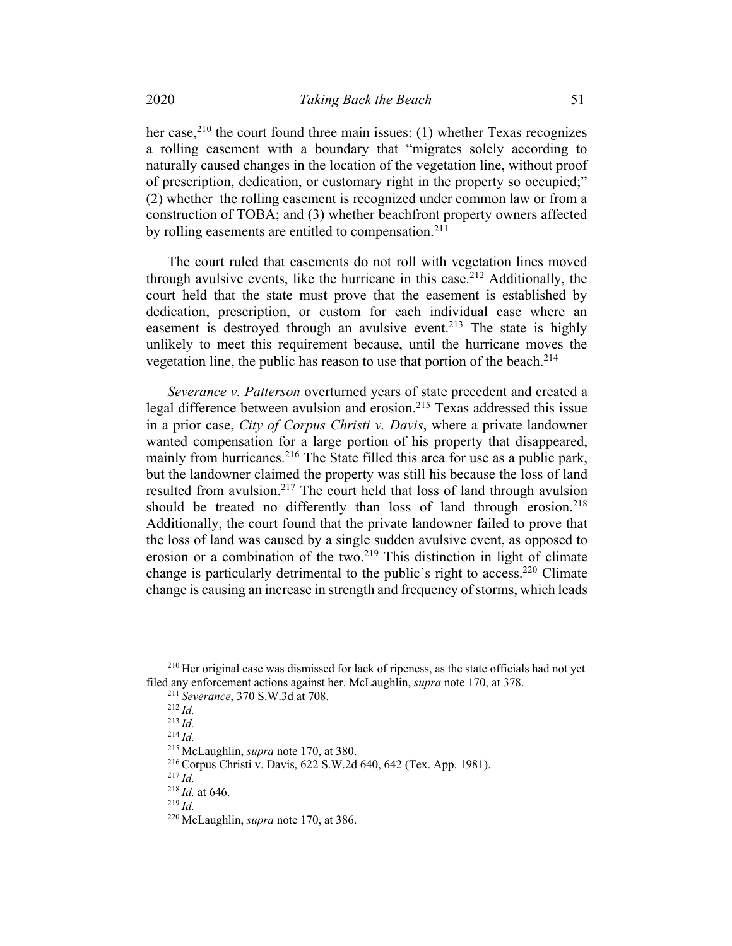her case,<sup>210</sup> the court found three main issues: (1) whether Texas recognizes a rolling easement with a boundary that "migrates solely according to naturally caused changes in the location of the vegetation line, without proof of prescription, dedication, or customary right in the property so occupied;" (2) whether the rolling easement is recognized under common law or from a construction of TOBA; and (3) whether beachfront property owners affected by rolling easements are entitled to compensation.<sup>211</sup>

The court ruled that easements do not roll with vegetation lines moved through avulsive events, like the hurricane in this case.<sup>212</sup> Additionally, the court held that the state must prove that the easement is established by dedication, prescription, or custom for each individual case where an easement is destroyed through an avulsive event.<sup>213</sup> The state is highly unlikely to meet this requirement because, until the hurricane moves the vegetation line, the public has reason to use that portion of the beach.<sup>214</sup>

*Severance v. Patterson* overturned years of state precedent and created a legal difference between avulsion and erosion.<sup>215</sup> Texas addressed this issue in a prior case, *City of Corpus Christi v. Davis*, where a private landowner wanted compensation for a large portion of his property that disappeared, mainly from hurricanes.<sup>216</sup> The State filled this area for use as a public park, but the landowner claimed the property was still his because the loss of land resulted from avulsion.<sup>217</sup> The court held that loss of land through avulsion should be treated no differently than loss of land through erosion.<sup>218</sup> Additionally, the court found that the private landowner failed to prove that the loss of land was caused by a single sudden avulsive event, as opposed to erosion or a combination of the two.219 This distinction in light of climate change is particularly detrimental to the public's right to access.<sup>220</sup> Climate change is causing an increase in strength and frequency of storms, which leads

<sup>&</sup>lt;sup>210</sup> Her original case was dismissed for lack of ripeness, as the state officials had not yet filed any enforcement actions against her. McLaughlin, *supra* note 170, at 378.

<sup>211</sup> *Severance*, 370 S.W.3d at 708.

<sup>212</sup> *Id.*

<sup>213</sup> *Id.*

<sup>214</sup> *Id.*

<sup>215</sup> McLaughlin, *supra* note 170, at 380.

<sup>216</sup> Corpus Christi v. Davis, 622 S.W.2d 640, 642 (Tex. App. 1981).

<sup>218</sup> *Id.* at 646.

<sup>219</sup> *Id.*

<sup>220</sup> McLaughlin, *supra* note 170, at 386.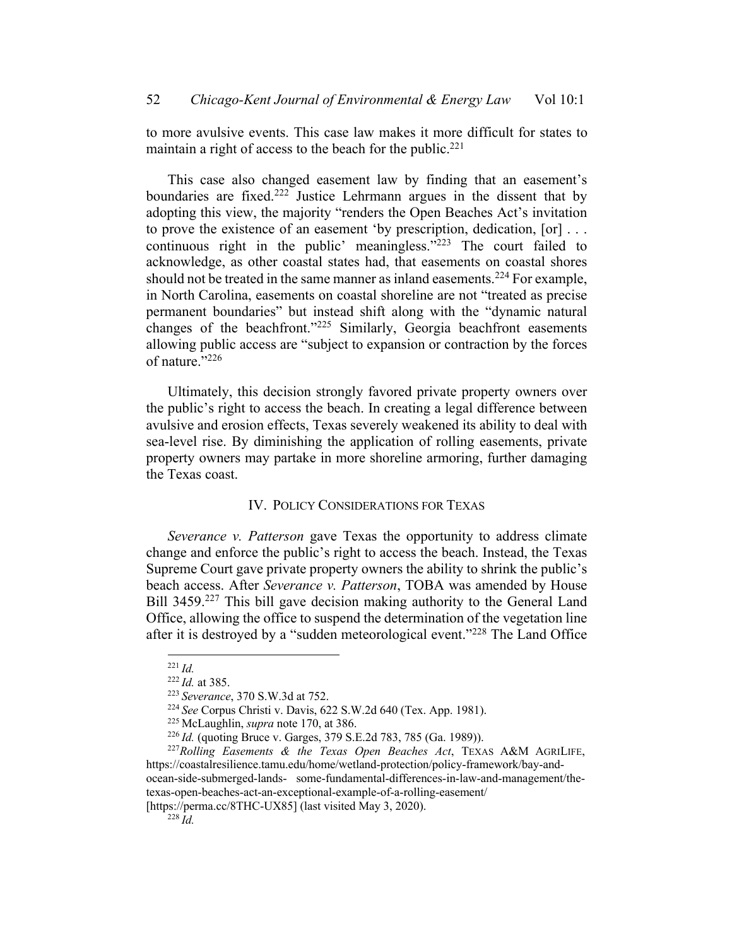to more avulsive events. This case law makes it more difficult for states to maintain a right of access to the beach for the public.<sup>221</sup>

This case also changed easement law by finding that an easement's boundaries are fixed.<sup>222</sup> Justice Lehrmann argues in the dissent that by adopting this view, the majority "renders the Open Beaches Act's invitation to prove the existence of an easement 'by prescription, dedication, [or] . . . continuous right in the public' meaningless."<sup>223</sup> The court failed to acknowledge, as other coastal states had, that easements on coastal shores should not be treated in the same manner as inland easements.<sup>224</sup> For example, in North Carolina, easements on coastal shoreline are not "treated as precise permanent boundaries" but instead shift along with the "dynamic natural changes of the beachfront."225 Similarly, Georgia beachfront easements allowing public access are "subject to expansion or contraction by the forces of nature."226

Ultimately, this decision strongly favored private property owners over the public's right to access the beach. In creating a legal difference between avulsive and erosion effects, Texas severely weakened its ability to deal with sea-level rise. By diminishing the application of rolling easements, private property owners may partake in more shoreline armoring, further damaging the Texas coast.

# IV. POLICY CONSIDERATIONS FOR TEXAS

*Severance v. Patterson* gave Texas the opportunity to address climate change and enforce the public's right to access the beach. Instead, the Texas Supreme Court gave private property owners the ability to shrink the public's beach access. After *Severance v. Patterson*, TOBA was amended by House Bill 3459.<sup>227</sup> This bill gave decision making authority to the General Land Office, allowing the office to suspend the determination of the vegetation line after it is destroyed by a "sudden meteorological event."228 The Land Office

<sup>221</sup> *Id.*

<sup>222</sup> *Id.* at 385.

<sup>223</sup> *Severance*, 370 S.W.3d at 752.

<sup>224</sup> *See* Corpus Christi v. Davis, 622 S.W.2d 640 (Tex. App. 1981).

<sup>225</sup> McLaughlin, *supra* note 170, at 386.

<sup>226</sup> *Id.* (quoting Bruce v. Garges, 379 S.E.2d 783, 785 (Ga. 1989)).

<sup>227</sup>*Rolling Easements & the Texas Open Beaches Act*, TEXAS A&M AGRILIFE, https://coastalresilience.tamu.edu/home/wetland-protection/policy-framework/bay-andocean-side-submerged-lands- some-fundamental-differences-in-law-and-management/thetexas-open-beaches-act-an-exceptional-example-of-a-rolling-easement/

<sup>[</sup>https://perma.cc/8THC-UX85] (last visited May 3, 2020).

 $^{228}$ *Id.*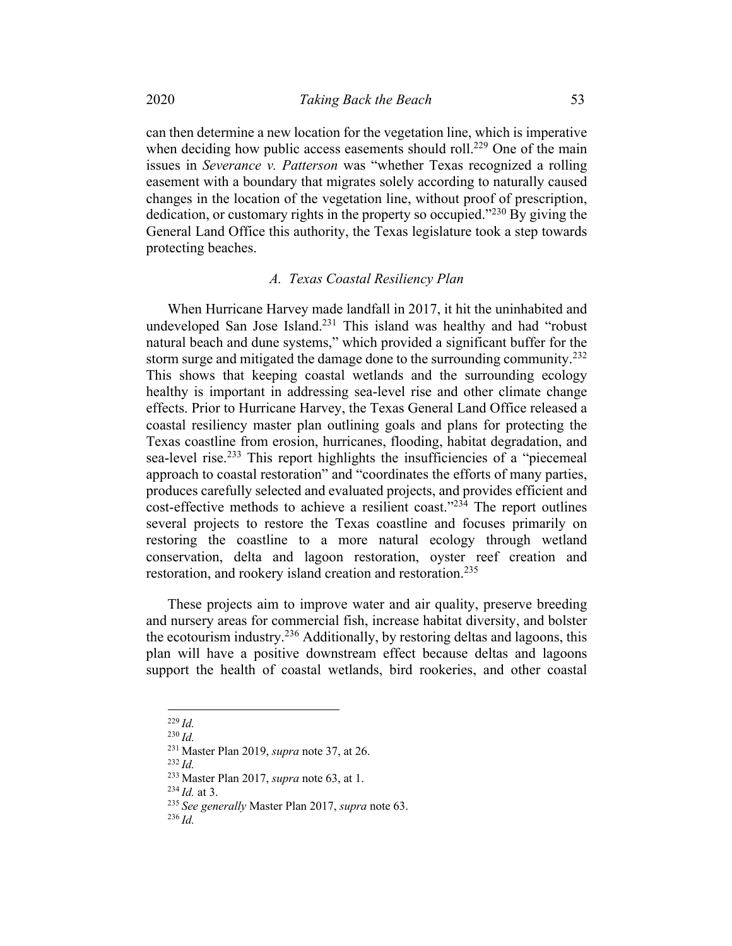can then determine a new location for the vegetation line, which is imperative when deciding how public access easements should roll.<sup>229</sup> One of the main issues in *Severance v. Patterson* was "whether Texas recognized a rolling easement with a boundary that migrates solely according to naturally caused changes in the location of the vegetation line, without proof of prescription, dedication, or customary rights in the property so occupied."230 By giving the General Land Office this authority, the Texas legislature took a step towards protecting beaches.

#### *A. Texas Coastal Resiliency Plan*

When Hurricane Harvey made landfall in 2017, it hit the uninhabited and undeveloped San Jose Island.<sup>231</sup> This island was healthy and had "robust natural beach and dune systems," which provided a significant buffer for the storm surge and mitigated the damage done to the surrounding community.<sup>232</sup> This shows that keeping coastal wetlands and the surrounding ecology healthy is important in addressing sea-level rise and other climate change effects. Prior to Hurricane Harvey, the Texas General Land Office released a coastal resiliency master plan outlining goals and plans for protecting the Texas coastline from erosion, hurricanes, flooding, habitat degradation, and sea-level rise.<sup>233</sup> This report highlights the insufficiencies of a "piecemeal approach to coastal restoration" and "coordinates the efforts of many parties, produces carefully selected and evaluated projects, and provides efficient and cost-effective methods to achieve a resilient coast."<sup>234</sup> The report outlines several projects to restore the Texas coastline and focuses primarily on restoring the coastline to a more natural ecology through wetland conservation, delta and lagoon restoration, oyster reef creation and restoration, and rookery island creation and restoration.<sup>235</sup>

These projects aim to improve water and air quality, preserve breeding and nursery areas for commercial fish, increase habitat diversity, and bolster the ecotourism industry.236 Additionally, by restoring deltas and lagoons, this plan will have a positive downstream effect because deltas and lagoons support the health of coastal wetlands, bird rookeries, and other coastal

<sup>229</sup> *Id.*

<sup>230</sup> *Id.*

<sup>231</sup> Master Plan 2019, *supra* note 37, at 26.

<sup>233</sup> Master Plan 2017, *supra* note 63, at 1.

 $^{234}$  *Id.* at 3.

<sup>235</sup> *See generally* Master Plan 2017, *supra* note 63.

<sup>236</sup> *Id.*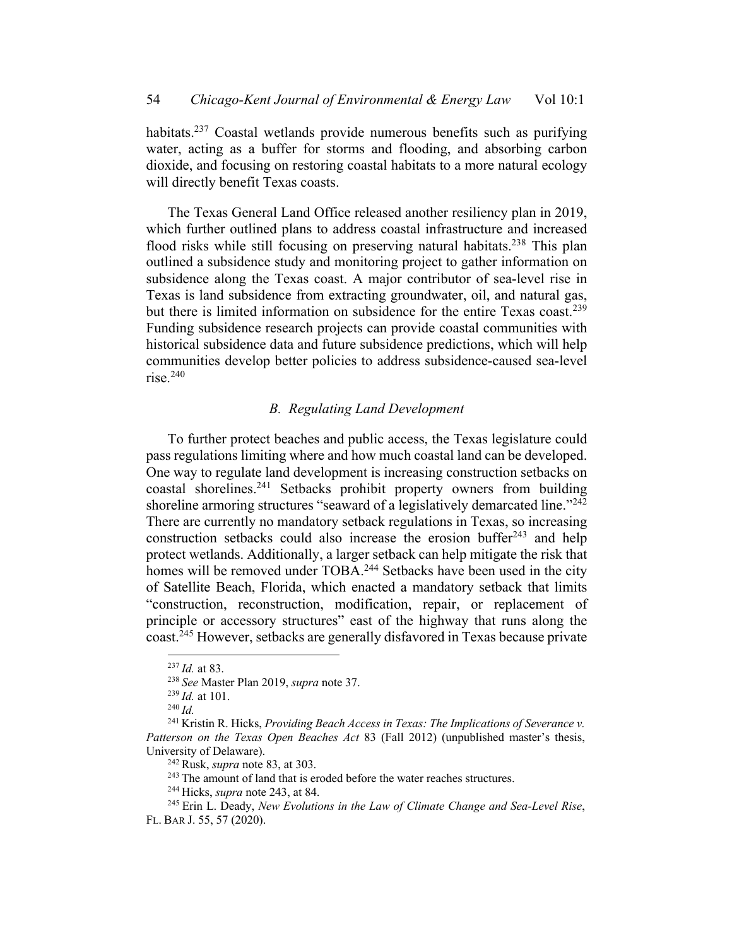habitats.<sup>237</sup> Coastal wetlands provide numerous benefits such as purifying water, acting as a buffer for storms and flooding, and absorbing carbon dioxide, and focusing on restoring coastal habitats to a more natural ecology will directly benefit Texas coasts.

The Texas General Land Office released another resiliency plan in 2019, which further outlined plans to address coastal infrastructure and increased flood risks while still focusing on preserving natural habitats.<sup>238</sup> This plan outlined a subsidence study and monitoring project to gather information on subsidence along the Texas coast. A major contributor of sea-level rise in Texas is land subsidence from extracting groundwater, oil, and natural gas, but there is limited information on subsidence for the entire Texas coast.<sup>239</sup> Funding subsidence research projects can provide coastal communities with historical subsidence data and future subsidence predictions, which will help communities develop better policies to address subsidence-caused sea-level rise. $240$ 

# *B. Regulating Land Development*

To further protect beaches and public access, the Texas legislature could pass regulations limiting where and how much coastal land can be developed. One way to regulate land development is increasing construction setbacks on coastal shorelines.241 Setbacks prohibit property owners from building shoreline armoring structures "seaward of a legislatively demarcated line."<sup>242</sup> There are currently no mandatory setback regulations in Texas, so increasing construction setbacks could also increase the erosion buffer $243$  and help protect wetlands. Additionally, a larger setback can help mitigate the risk that homes will be removed under TOBA.<sup>244</sup> Setbacks have been used in the city of Satellite Beach, Florida, which enacted a mandatory setback that limits "construction, reconstruction, modification, repair, or replacement of principle or accessory structures" east of the highway that runs along the coast.245 However, setbacks are generally disfavored in Texas because private

<sup>243</sup> The amount of land that is eroded before the water reaches structures.

<sup>237</sup> *Id.* at 83.

<sup>238</sup> *See* Master Plan 2019, *supra* note 37.

<sup>239</sup> *Id.* at 101.

<sup>240</sup> *Id.*

<sup>241</sup> Kristin R. Hicks, *Providing Beach Access in Texas: The Implications of Severance v. Patterson on the Texas Open Beaches Act* 83 (Fall 2012) (unpublished master's thesis, University of Delaware).

<sup>242</sup> Rusk, *supra* note 83, at 303.

<sup>244</sup> Hicks, *supra* note 243, at 84.

<sup>245</sup> Erin L. Deady, *New Evolutions in the Law of Climate Change and Sea-Level Rise*, FL. BAR J. 55, 57 (2020).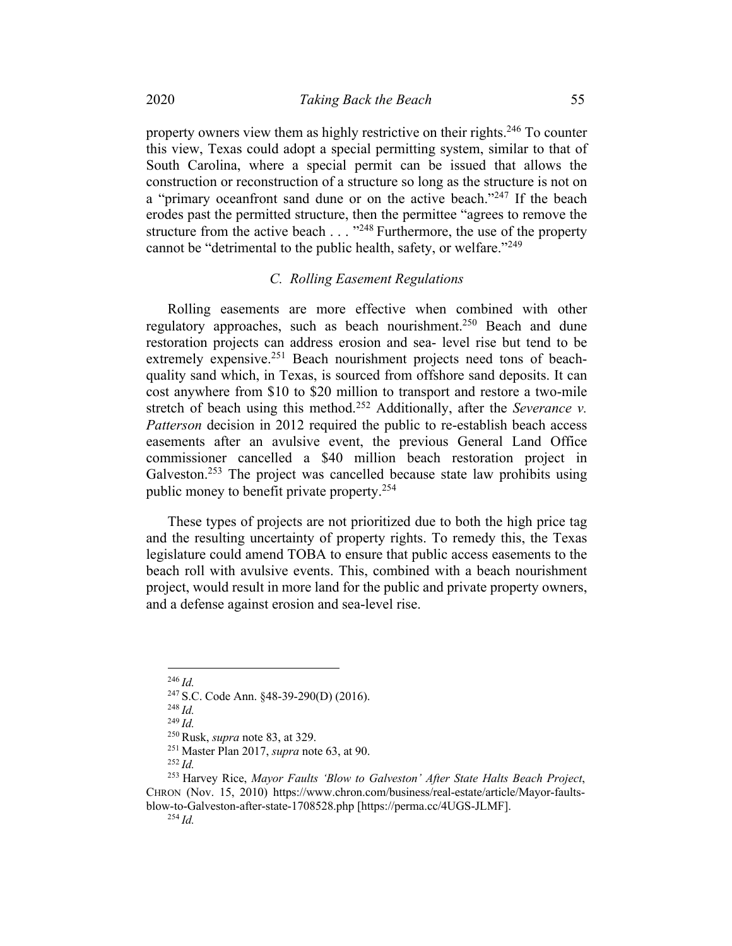property owners view them as highly restrictive on their rights.<sup>246</sup> To counter this view, Texas could adopt a special permitting system, similar to that of South Carolina, where a special permit can be issued that allows the construction or reconstruction of a structure so long as the structure is not on a "primary oceanfront sand dune or on the active beach."<sup>247</sup> If the beach erodes past the permitted structure, then the permittee "agrees to remove the structure from the active beach  $\ldots$   $\cdot$ <sup>248</sup> Furthermore, the use of the property cannot be "detrimental to the public health, safety, or welfare."249

## *C. Rolling Easement Regulations*

Rolling easements are more effective when combined with other regulatory approaches, such as beach nourishment.<sup>250</sup> Beach and dune restoration projects can address erosion and sea- level rise but tend to be extremely expensive.<sup>251</sup> Beach nourishment projects need tons of beachquality sand which, in Texas, is sourced from offshore sand deposits. It can cost anywhere from \$10 to \$20 million to transport and restore a two-mile stretch of beach using this method.<sup>252</sup> Additionally, after the *Severance v*. *Patterson* decision in 2012 required the public to re-establish beach access easements after an avulsive event, the previous General Land Office commissioner cancelled a \$40 million beach restoration project in Galveston.<sup>253</sup> The project was cancelled because state law prohibits using public money to benefit private property.254

These types of projects are not prioritized due to both the high price tag and the resulting uncertainty of property rights. To remedy this, the Texas legislature could amend TOBA to ensure that public access easements to the beach roll with avulsive events. This, combined with a beach nourishment project, would result in more land for the public and private property owners, and a defense against erosion and sea-level rise.

<sup>246</sup> *Id.*

<sup>247</sup> S.C. Code Ann. §48-39-290(D) (2016).

<sup>248</sup> *Id.*

<sup>249</sup> *Id.*

<sup>250</sup> Rusk, *supra* note 83, at 329.

<sup>251</sup> Master Plan 2017, *supra* note 63, at 90.

<sup>252</sup> *Id.*

<sup>253</sup> Harvey Rice, *Mayor Faults 'Blow to Galveston' After State Halts Beach Project*, CHRON (Nov. 15, 2010) https://www.chron.com/business/real-estate/article/Mayor-faultsblow-to-Galveston-after-state-1708528.php [https://perma.cc/4UGS-JLMF]. <sup>254</sup> *Id.*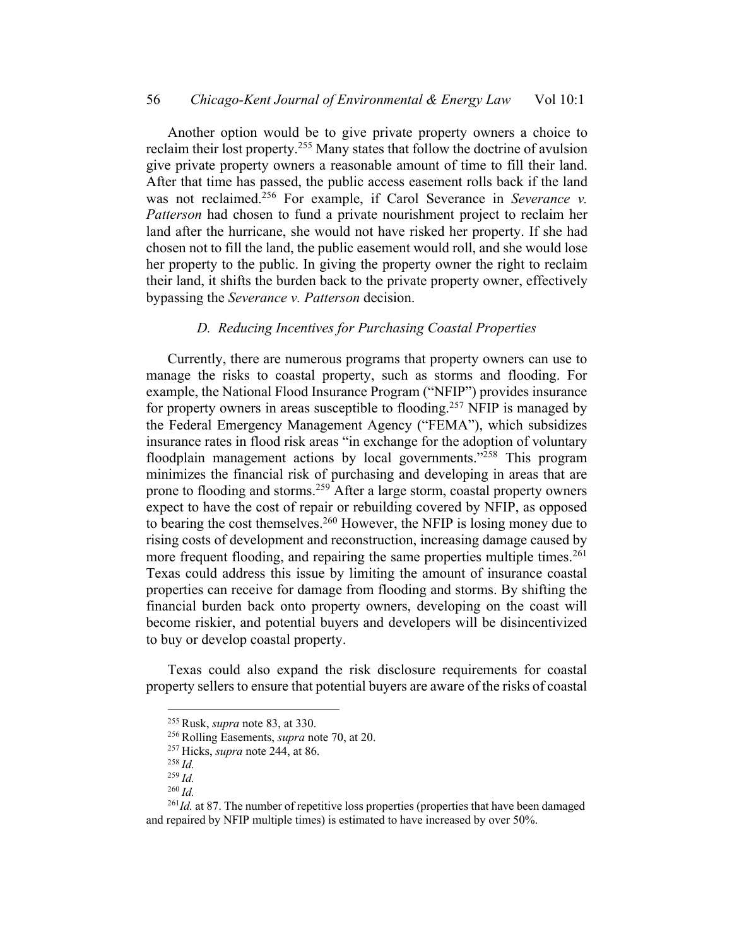Another option would be to give private property owners a choice to reclaim their lost property.255 Many states that follow the doctrine of avulsion give private property owners a reasonable amount of time to fill their land. After that time has passed, the public access easement rolls back if the land was not reclaimed.<sup>256</sup> For example, if Carol Severance in *Severance v. Patterson* had chosen to fund a private nourishment project to reclaim her land after the hurricane, she would not have risked her property. If she had chosen not to fill the land, the public easement would roll, and she would lose her property to the public. In giving the property owner the right to reclaim their land, it shifts the burden back to the private property owner, effectively bypassing the *Severance v. Patterson* decision.

## *D. Reducing Incentives for Purchasing Coastal Properties*

Currently, there are numerous programs that property owners can use to manage the risks to coastal property, such as storms and flooding. For example, the National Flood Insurance Program ("NFIP") provides insurance for property owners in areas susceptible to flooding.<sup>257</sup> NFIP is managed by the Federal Emergency Management Agency ("FEMA"), which subsidizes insurance rates in flood risk areas "in exchange for the adoption of voluntary floodplain management actions by local governments."<sup>258</sup> This program minimizes the financial risk of purchasing and developing in areas that are prone to flooding and storms.<sup>259</sup> After a large storm, coastal property owners expect to have the cost of repair or rebuilding covered by NFIP, as opposed to bearing the cost themselves.260 However, the NFIP is losing money due to rising costs of development and reconstruction, increasing damage caused by more frequent flooding, and repairing the same properties multiple times.<sup>261</sup> Texas could address this issue by limiting the amount of insurance coastal properties can receive for damage from flooding and storms. By shifting the financial burden back onto property owners, developing on the coast will become riskier, and potential buyers and developers will be disincentivized to buy or develop coastal property.

Texas could also expand the risk disclosure requirements for coastal property sellers to ensure that potential buyers are aware of the risks of coastal

<sup>255</sup> Rusk, *supra* note 83, at 330.

<sup>256</sup> Rolling Easements, *supra* note 70, at 20.

<sup>257</sup> Hicks, *supra* note 244, at 86.

<sup>258</sup> *Id.*

<sup>259</sup> *Id.*

<sup>260</sup> *Id.*

<sup>&</sup>lt;sup>261</sup>Id. at 87. The number of repetitive loss properties (properties that have been damaged and repaired by NFIP multiple times) is estimated to have increased by over 50%.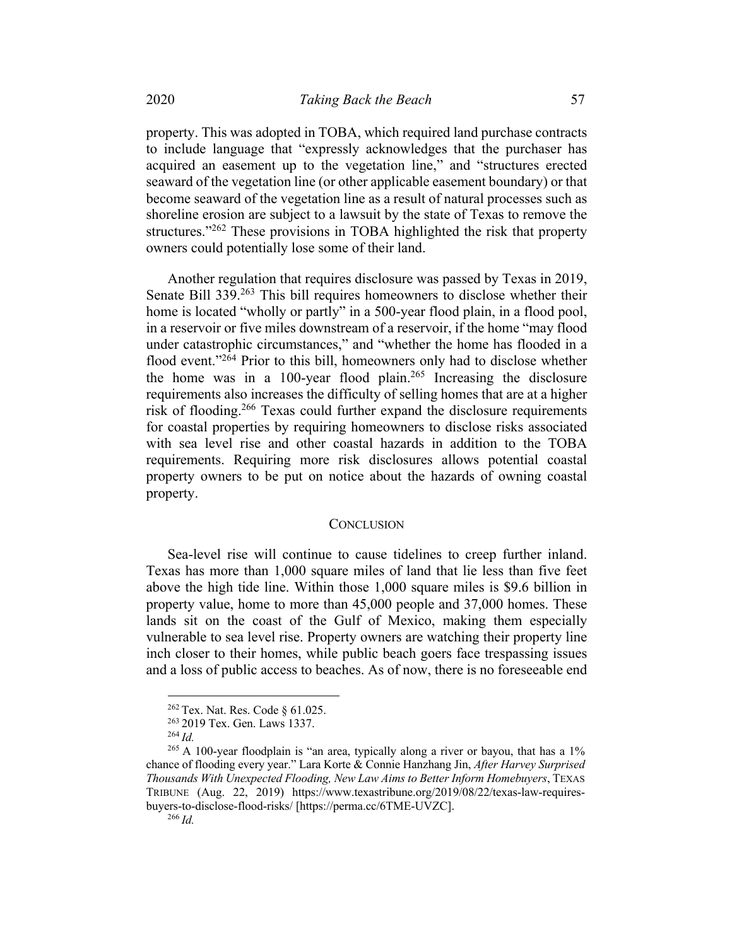property. This was adopted in TOBA, which required land purchase contracts to include language that "expressly acknowledges that the purchaser has acquired an easement up to the vegetation line," and "structures erected seaward of the vegetation line (or other applicable easement boundary) or that become seaward of the vegetation line as a result of natural processes such as shoreline erosion are subject to a lawsuit by the state of Texas to remove the structures."<sup>262</sup> These provisions in TOBA highlighted the risk that property owners could potentially lose some of their land.

Another regulation that requires disclosure was passed by Texas in 2019, Senate Bill 339.<sup>263</sup> This bill requires homeowners to disclose whether their home is located "wholly or partly" in a 500-year flood plain, in a flood pool, in a reservoir or five miles downstream of a reservoir, if the home "may flood under catastrophic circumstances," and "whether the home has flooded in a flood event."<sup>264</sup> Prior to this bill, homeowners only had to disclose whether the home was in a 100-year flood plain.<sup>265</sup> Increasing the disclosure requirements also increases the difficulty of selling homes that are at a higher risk of flooding.<sup>266</sup> Texas could further expand the disclosure requirements for coastal properties by requiring homeowners to disclose risks associated with sea level rise and other coastal hazards in addition to the TOBA requirements. Requiring more risk disclosures allows potential coastal property owners to be put on notice about the hazards of owning coastal property.

#### **CONCLUSION**

Sea-level rise will continue to cause tidelines to creep further inland. Texas has more than 1,000 square miles of land that lie less than five feet above the high tide line. Within those 1,000 square miles is \$9.6 billion in property value, home to more than 45,000 people and 37,000 homes. These lands sit on the coast of the Gulf of Mexico, making them especially vulnerable to sea level rise. Property owners are watching their property line inch closer to their homes, while public beach goers face trespassing issues and a loss of public access to beaches. As of now, there is no foreseeable end

<sup>262</sup> Tex. Nat. Res. Code § 61.025.

<sup>263</sup> 2019 Tex. Gen. Laws 1337.

<sup>264</sup> *Id.*

<sup>&</sup>lt;sup>265</sup> A 100-year floodplain is "an area, typically along a river or bayou, that has a 1% chance of flooding every year." Lara Korte & Connie Hanzhang Jin, *After Harvey Surprised Thousands With Unexpected Flooding, New Law Aims to Better Inform Homebuyers*, TEXAS TRIBUNE (Aug. 22, 2019) https://www.texastribune.org/2019/08/22/texas-law-requiresbuyers-to-disclose-flood-risks/ [https://perma.cc/6TME-UVZC]. <sup>266</sup> *Id.*